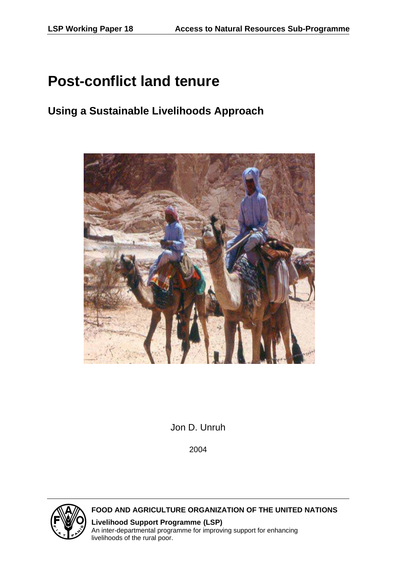# **Post-conflict land tenure**

## **Using a Sustainable Livelihoods Approach**



Jon D. Unruh

2004



 **FOOD AND AGRICULTURE ORGANIZATION OF THE UNITED NATIONS**

 **Livelihood Support Programme (LSP)** An inter-departmental programme for improving support for enhancing livelihoods of the rural poor.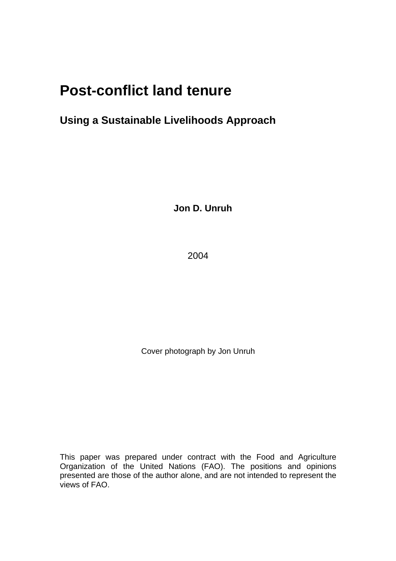# **Post-conflict land tenure**

## **Using a Sustainable Livelihoods Approach**

**Jon D. Unruh** 

2004

Cover photograph by Jon Unruh

This paper was prepared under contract with the Food and Agriculture Organization of the United Nations (FAO). The positions and opinions presented are those of the author alone, and are not intended to represent the views of FAO.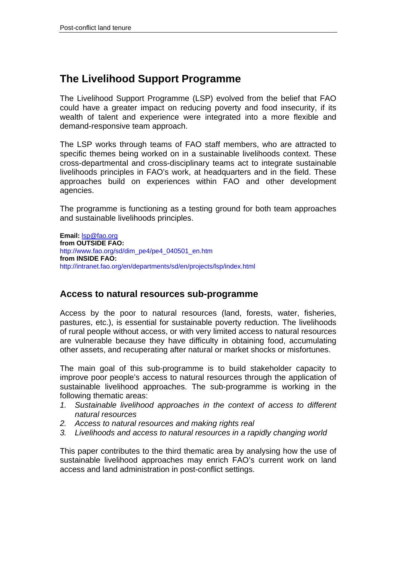## **The Livelihood Support Programme**

The Livelihood Support Programme (LSP) evolved from the belief that FAO could have a greater impact on reducing poverty and food insecurity, if its wealth of talent and experience were integrated into a more flexible and demand-responsive team approach.

The LSP works through teams of FAO staff members, who are attracted to specific themes being worked on in a sustainable livelihoods context. These cross-departmental and cross-disciplinary teams act to integrate sustainable livelihoods principles in FAO's work, at headquarters and in the field. These approaches build on experiences within FAO and other development agencies.

The programme is functioning as a testing ground for both team approaches and sustainable livelihoods principles.

**Email:** lsp@fao.org **from OUTSIDE FAO:**  http://www.fao.org/sd/dim\_pe4/pe4\_040501\_en.htm **from INSIDE FAO:**  http://intranet.fao.org/en/departments/sd/en/projects/lsp/index.html

## **Access to natural resources sub-programme**

Access by the poor to natural resources (land, forests, water, fisheries, pastures, etc.), is essential for sustainable poverty reduction. The livelihoods of rural people without access, or with very limited access to natural resources are vulnerable because they have difficulty in obtaining food, accumulating other assets, and recuperating after natural or market shocks or misfortunes.

The main goal of this sub-programme is to build stakeholder capacity to improve poor people's access to natural resources through the application of sustainable livelihood approaches. The sub-programme is working in the following thematic areas:

- *1. Sustainable livelihood approaches in the context of access to different natural resources*
- *2. Access to natural resources and making rights real*
- *3. Livelihoods and access to natural resources in a rapidly changing world*

This paper contributes to the third thematic area by analysing how the use of sustainable livelihood approaches may enrich FAO's current work on land access and land administration in post-conflict settings.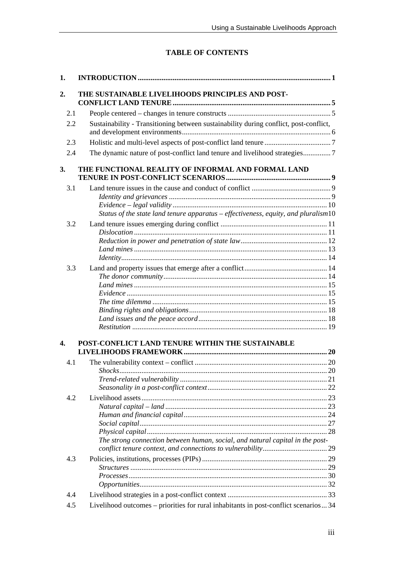## **TABLE OF CONTENTS**

| 1.  |                                                                                       |  |
|-----|---------------------------------------------------------------------------------------|--|
| 2.  | THE SUSTAINABLE LIVELIHOODS PRINCIPLES AND POST-                                      |  |
| 2.1 |                                                                                       |  |
| 2.2 | Sustainability - Transitioning between sustainability during conflict, post-conflict, |  |
| 2.3 |                                                                                       |  |
| 2.4 | The dynamic nature of post-conflict land tenure and livelihood strategies7            |  |
| 3.  | THE FUNCTIONAL REALITY OF INFORMAL AND FORMAL LAND                                    |  |
| 3.1 |                                                                                       |  |
|     | Status of the state land tenure apparatus - effectiveness, equity, and pluralism10    |  |
| 3.2 |                                                                                       |  |
|     |                                                                                       |  |
|     |                                                                                       |  |
|     |                                                                                       |  |
| 3.3 |                                                                                       |  |
|     |                                                                                       |  |
|     |                                                                                       |  |
|     |                                                                                       |  |
|     |                                                                                       |  |
|     |                                                                                       |  |
|     |                                                                                       |  |
| 4.  | POST-CONFLICT LAND TENURE WITHIN THE SUSTAINABLE                                      |  |
|     |                                                                                       |  |
| 4.1 |                                                                                       |  |
|     | <i>Shocks</i>                                                                         |  |
|     |                                                                                       |  |
| 4.2 |                                                                                       |  |
|     |                                                                                       |  |
|     |                                                                                       |  |
|     |                                                                                       |  |
|     |                                                                                       |  |
|     | The strong connection between human, social, and natural capital in the post-         |  |
| 4.3 |                                                                                       |  |
|     |                                                                                       |  |
|     |                                                                                       |  |
|     |                                                                                       |  |
| 4.4 |                                                                                       |  |
| 4.5 | Livelihood outcomes – priorities for rural inhabitants in post-conflict scenarios 34  |  |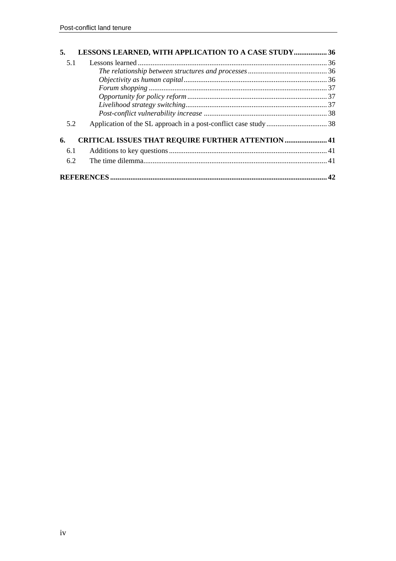| 5.  | <b>LESSONS LEARNED, WITH APPLICATION TO A CASE STUDY 36</b> |    |
|-----|-------------------------------------------------------------|----|
| 5.1 |                                                             |    |
|     |                                                             |    |
|     |                                                             |    |
|     |                                                             |    |
|     |                                                             |    |
|     |                                                             |    |
|     |                                                             |    |
| 5.2 |                                                             |    |
| 6.  | <b>CRITICAL ISSUES THAT REQUIRE FURTHER ATTENTION  41</b>   |    |
| 6.1 |                                                             |    |
| 6.2 |                                                             |    |
|     |                                                             | 42 |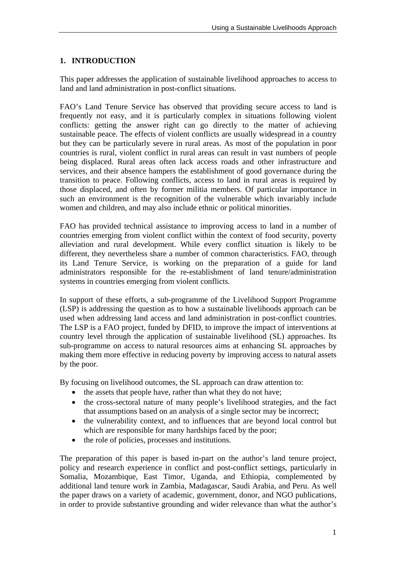## **1. INTRODUCTION**

This paper addresses the application of sustainable livelihood approaches to access to land and land administration in post-conflict situations.

FAO's Land Tenure Service has observed that providing secure access to land is frequently not easy, and it is particularly complex in situations following violent conflicts: getting the answer right can go directly to the matter of achieving sustainable peace. The effects of violent conflicts are usually widespread in a country but they can be particularly severe in rural areas. As most of the population in poor countries is rural, violent conflict in rural areas can result in vast numbers of people being displaced. Rural areas often lack access roads and other infrastructure and services, and their absence hampers the establishment of good governance during the transition to peace. Following conflicts, access to land in rural areas is required by those displaced, and often by former militia members. Of particular importance in such an environment is the recognition of the vulnerable which invariably include women and children, and may also include ethnic or political minorities.

FAO has provided technical assistance to improving access to land in a number of countries emerging from violent conflict within the context of food security, poverty alleviation and rural development. While every conflict situation is likely to be different, they nevertheless share a number of common characteristics. FAO, through its Land Tenure Service, is working on the preparation of a guide for land administrators responsible for the re-establishment of land tenure/administration systems in countries emerging from violent conflicts.

In support of these efforts, a sub-programme of the Livelihood Support Programme (LSP) is addressing the question as to how a sustainable livelihoods approach can be used when addressing land access and land administration in post-conflict countries. The LSP is a FAO project, funded by DFID, to improve the impact of interventions at country level through the application of sustainable livelihood (SL) approaches. Its sub-programme on access to natural resources aims at enhancing SL approaches by making them more effective in reducing poverty by improving access to natural assets by the poor.

By focusing on livelihood outcomes, the SL approach can draw attention to:

- the assets that people have, rather than what they do not have:
- the cross-sectoral nature of many people's livelihood strategies, and the fact that assumptions based on an analysis of a single sector may be incorrect;
- the vulnerability context, and to influences that are beyond local control but which are responsible for many hardships faced by the poor;
- the role of policies, processes and institutions.

The preparation of this paper is based in-part on the author's land tenure project, policy and research experience in conflict and post-conflict settings, particularly in Somalia, Mozambique, East Timor, Uganda, and Ethiopia, complemented by additional land tenure work in Zambia, Madagascar, Saudi Arabia, and Peru. As well the paper draws on a variety of academic, government, donor, and NGO publications, in order to provide substantive grounding and wider relevance than what the author's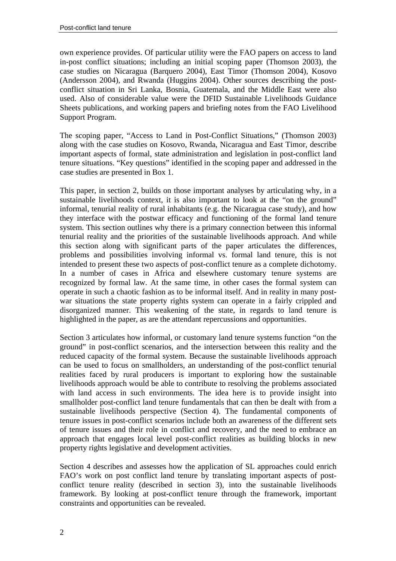own experience provides. Of particular utility were the FAO papers on access to land in-post conflict situations; including an initial scoping paper (Thomson 2003), the case studies on Nicaragua (Barquero 2004), East Timor (Thomson 2004), Kosovo (Andersson 2004), and Rwanda (Huggins 2004). Other sources describing the postconflict situation in Sri Lanka, Bosnia, Guatemala, and the Middle East were also used. Also of considerable value were the DFID Sustainable Livelihoods Guidance Sheets publications, and working papers and briefing notes from the FAO Livelihood Support Program.

The scoping paper, "Access to Land in Post-Conflict Situations," (Thomson 2003) along with the case studies on Kosovo, Rwanda, Nicaragua and East Timor, describe important aspects of formal, state administration and legislation in post-conflict land tenure situations. "Key questions" identified in the scoping paper and addressed in the case studies are presented in Box 1.

This paper, in section 2, builds on those important analyses by articulating why, in a sustainable livelihoods context, it is also important to look at the "on the ground" informal, tenurial reality of rural inhabitants (e.g. the Nicaragua case study), and how they interface with the postwar efficacy and functioning of the formal land tenure system. This section outlines why there is a primary connection between this informal tenurial reality and the priorities of the sustainable livelihoods approach. And while this section along with significant parts of the paper articulates the differences, problems and possibilities involving informal vs. formal land tenure, this is not intended to present these two aspects of post-conflict tenure as a complete dichotomy. In a number of cases in Africa and elsewhere customary tenure systems are recognized by formal law. At the same time, in other cases the formal system can operate in such a chaotic fashion as to be informal itself. And in reality in many postwar situations the state property rights system can operate in a fairly crippled and disorganized manner. This weakening of the state, in regards to land tenure is highlighted in the paper, as are the attendant repercussions and opportunities.

Section 3 articulates how informal, or customary land tenure systems function "on the ground" in post-conflict scenarios, and the intersection between this reality and the reduced capacity of the formal system. Because the sustainable livelihoods approach can be used to focus on smallholders, an understanding of the post-conflict tenurial realities faced by rural producers is important to exploring how the sustainable livelihoods approach would be able to contribute to resolving the problems associated with land access in such environments. The idea here is to provide insight into smallholder post-conflict land tenure fundamentals that can then be dealt with from a sustainable livelihoods perspective (Section 4). The fundamental components of tenure issues in post-conflict scenarios include both an awareness of the different sets of tenure issues and their role in conflict and recovery, and the need to embrace an approach that engages local level post-conflict realities as building blocks in new property rights legislative and development activities.

Section 4 describes and assesses how the application of SL approaches could enrich FAO's work on post conflict land tenure by translating important aspects of postconflict tenure reality (described in section 3), into the sustainable livelihoods framework. By looking at post-conflict tenure through the framework, important constraints and opportunities can be revealed.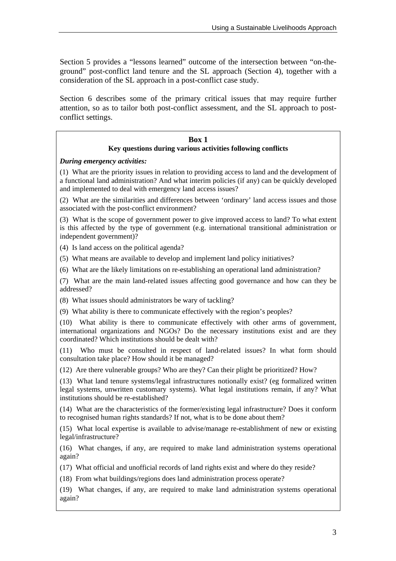Section 5 provides a "lessons learned" outcome of the intersection between "on-theground" post-conflict land tenure and the SL approach (Section 4), together with a consideration of the SL approach in a post-conflict case study.

Section 6 describes some of the primary critical issues that may require further attention, so as to tailor both post-conflict assessment, and the SL approach to postconflict settings.

#### **Box 1 Key questions during various activities following conflicts**

*During emergency activities:* 

(1) What are the priority issues in relation to providing access to land and the development of a functional land administration? And what interim policies (if any) can be quickly developed and implemented to deal with emergency land access issues?

(2) What are the similarities and differences between 'ordinary' land access issues and those associated with the post-conflict environment?

(3) What is the scope of government power to give improved access to land? To what extent is this affected by the type of government (e.g. international transitional administration or independent government)?

(4) Is land access on the political agenda?

(5) What means are available to develop and implement land policy initiatives?

(6) What are the likely limitations on re-establishing an operational land administration?

(7) What are the main land-related issues affecting good governance and how can they be addressed?

(8) What issues should administrators be wary of tackling?

(9) What ability is there to communicate effectively with the region's peoples?

(10) What ability is there to communicate effectively with other arms of government, international organizations and NGOs? Do the necessary institutions exist and are they coordinated? Which institutions should be dealt with?

(11) Who must be consulted in respect of land-related issues? In what form should consultation take place? How should it be managed?

(12) Are there vulnerable groups? Who are they? Can their plight be prioritized? How?

(13) What land tenure systems/legal infrastructures notionally exist? (eg formalized written legal systems, unwritten customary systems). What legal institutions remain, if any? What institutions should be re-established?

(14) What are the characteristics of the former/existing legal infrastructure? Does it conform to recognised human rights standards? If not, what is to be done about them?

(15) What local expertise is available to advise/manage re-establishment of new or existing legal/infrastructure?

(16) What changes, if any, are required to make land administration systems operational again?

(17) What official and unofficial records of land rights exist and where do they reside?

(18) From what buildings/regions does land administration process operate?

(19) What changes, if any, are required to make land administration systems operational again?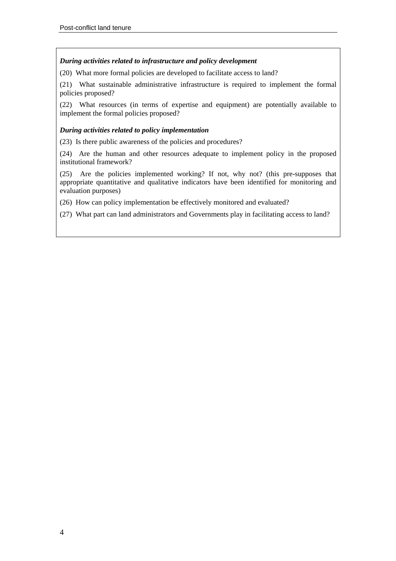#### *During activities related to infrastructure and policy development*

(20) What more formal policies are developed to facilitate access to land?

(21) What sustainable administrative infrastructure is required to implement the formal policies proposed?

(22) What resources (in terms of expertise and equipment) are potentially available to implement the formal policies proposed?

#### *During activities related to policy implementation*

(23) Is there public awareness of the policies and procedures?

(24) Are the human and other resources adequate to implement policy in the proposed institutional framework?

(25) Are the policies implemented working? If not, why not? (this pre-supposes that appropriate quantitative and qualitative indicators have been identified for monitoring and evaluation purposes)

(26) How can policy implementation be effectively monitored and evaluated?

(27) What part can land administrators and Governments play in facilitating access to land?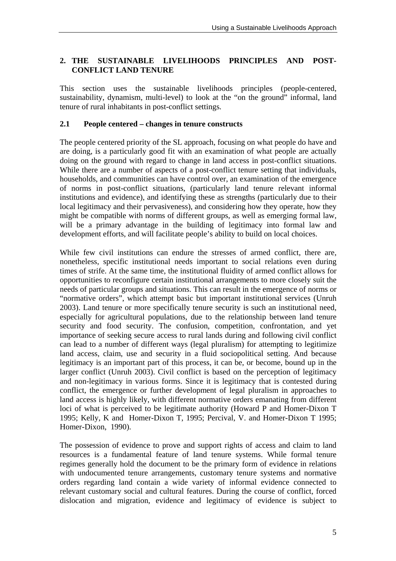#### **2. THE SUSTAINABLE LIVELIHOODS PRINCIPLES AND POST-CONFLICT LAND TENURE**

This section uses the sustainable livelihoods principles (people-centered, sustainability, dynamism, multi-level) to look at the "on the ground" informal, land tenure of rural inhabitants in post-conflict settings.

#### **2.1 People centered – changes in tenure constructs**

The people centered priority of the SL approach, focusing on what people do have and are doing, is a particularly good fit with an examination of what people are actually doing on the ground with regard to change in land access in post-conflict situations. While there are a number of aspects of a post-conflict tenure setting that individuals, households, and communities can have control over, an examination of the emergence of norms in post-conflict situations, (particularly land tenure relevant informal institutions and evidence), and identifying these as strengths (particularly due to their local legitimacy and their pervasiveness), and considering how they operate, how they might be compatible with norms of different groups, as well as emerging formal law, will be a primary advantage in the building of legitimacy into formal law and development efforts, and will facilitate people's ability to build on local choices.

While few civil institutions can endure the stresses of armed conflict, there are, nonetheless, specific institutional needs important to social relations even during times of strife. At the same time, the institutional fluidity of armed conflict allows for opportunities to reconfigure certain institutional arrangements to more closely suit the needs of particular groups and situations. This can result in the emergence of norms or "normative orders", which attempt basic but important institutional services (Unruh 2003). Land tenure or more specifically tenure security is such an institutional need, especially for agricultural populations, due to the relationship between land tenure security and food security. The confusion, competition, confrontation, and yet importance of seeking secure access to rural lands during and following civil conflict can lead to a number of different ways (legal pluralism) for attempting to legitimize land access, claim, use and security in a fluid sociopolitical setting. And because legitimacy is an important part of this process, it can be, or become, bound up in the larger conflict (Unruh 2003). Civil conflict is based on the perception of legitimacy and non-legitimacy in various forms. Since it is legitimacy that is contested during conflict, the emergence or further development of legal pluralism in approaches to land access is highly likely, with different normative orders emanating from different loci of what is perceived to be legitimate authority (Howard P and Homer-Dixon T 1995; Kelly, K and Homer-Dixon T, 1995; Percival, V. and Homer-Dixon T 1995; Homer-Dixon, 1990).

The possession of evidence to prove and support rights of access and claim to land resources is a fundamental feature of land tenure systems. While formal tenure regimes generally hold the document to be the primary form of evidence in relations with undocumented tenure arrangements, customary tenure systems and normative orders regarding land contain a wide variety of informal evidence connected to relevant customary social and cultural features. During the course of conflict, forced dislocation and migration, evidence and legitimacy of evidence is subject to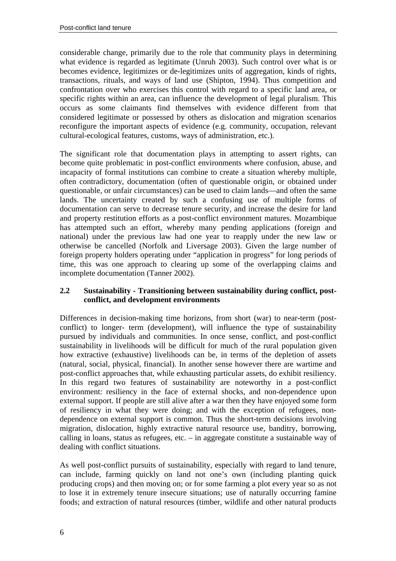considerable change, primarily due to the role that community plays in determining what evidence is regarded as legitimate (Unruh 2003). Such control over what is or becomes evidence, legitimizes or de-legitimizes units of aggregation, kinds of rights, transactions, rituals, and ways of land use (Shipton, 1994). Thus competition and confrontation over who exercises this control with regard to a specific land area, or specific rights within an area, can influence the development of legal pluralism. This occurs as some claimants find themselves with evidence different from that considered legitimate or possessed by others as dislocation and migration scenarios reconfigure the important aspects of evidence (e.g. community, occupation, relevant cultural-ecological features, customs, ways of administration, etc.).

The significant role that documentation plays in attempting to assert rights, can become quite problematic in post-conflict environments where confusion, abuse, and incapacity of formal institutions can combine to create a situation whereby multiple, often contradictory, documentation (often of questionable origin, or obtained under questionable, or unfair circumstances) can be used to claim lands—and often the same lands. The uncertainty created by such a confusing use of multiple forms of documentation can serve to decrease tenure security, and increase the desire for land and property restitution efforts as a post-conflict environment matures. Mozambique has attempted such an effort, whereby many pending applications (foreign and national) under the previous law had one year to reapply under the new law or otherwise be cancelled (Norfolk and Liversage 2003). Given the large number of foreign property holders operating under "application in progress" for long periods of time, this was one approach to clearing up some of the overlapping claims and incomplete documentation (Tanner 2002).

#### **2.2 Sustainability - Transitioning between sustainability during conflict, postconflict, and development environments**

Differences in decision-making time horizons, from short (war) to near-term (postconflict) to longer- term (development), will influence the type of sustainability pursued by individuals and communities. In once sense, conflict, and post-conflict sustainability in livelihoods will be difficult for much of the rural population given how extractive (exhaustive) livelihoods can be, in terms of the depletion of assets (natural, social, physical, financial). In another sense however there are wartime and post-conflict approaches that, while exhausting particular assets, do exhibit resiliency. In this regard two features of sustainability are noteworthy in a post-conflict environment: resiliency in the face of external shocks, and non-dependence upon external support. If people are still alive after a war then they have enjoyed some form of resiliency in what they were doing; and with the exception of refugees, nondependence on external support is common. Thus the short-term decisions involving migration, dislocation, highly extractive natural resource use, banditry, borrowing, calling in loans, status as refugees, etc. – in aggregate constitute a sustainable way of dealing with conflict situations.

As well post-conflict pursuits of sustainability, especially with regard to land tenure, can include, farming quickly on land not one's own (including planting quick producing crops) and then moving on; or for some farming a plot every year so as not to lose it in extremely tenure insecure situations; use of naturally occurring famine foods; and extraction of natural resources (timber, wildlife and other natural products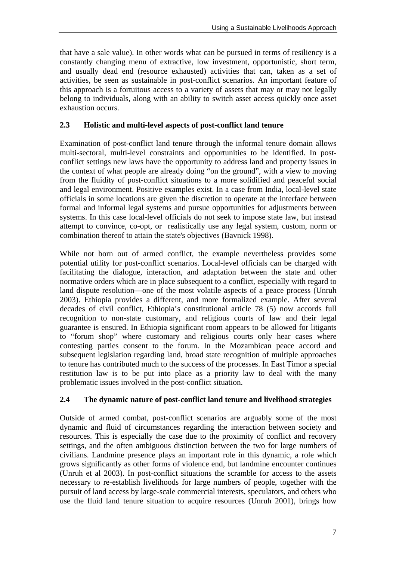that have a sale value). In other words what can be pursued in terms of resiliency is a constantly changing menu of extractive, low investment, opportunistic, short term, and usually dead end (resource exhausted) activities that can, taken as a set of activities, be seen as sustainable in post-conflict scenarios. An important feature of this approach is a fortuitous access to a variety of assets that may or may not legally belong to individuals, along with an ability to switch asset access quickly once asset exhaustion occurs.

#### **2.3 Holistic and multi-level aspects of post-conflict land tenure**

Examination of post-conflict land tenure through the informal tenure domain allows multi-sectoral, multi-level constraints and opportunities to be identified. In postconflict settings new laws have the opportunity to address land and property issues in the context of what people are already doing "on the ground", with a view to moving from the fluidity of post-conflict situations to a more solidified and peaceful social and legal environment. Positive examples exist. In a case from India, local-level state officials in some locations are given the discretion to operate at the interface between formal and informal legal systems and pursue opportunities for adjustments between systems. In this case local-level officials do not seek to impose state law, but instead attempt to convince, co-opt, or realistically use any legal system, custom, norm or combination thereof to attain the state's objectives (Bavnick 1998).

While not born out of armed conflict, the example nevertheless provides some potential utility for post-conflict scenarios. Local-level officials can be charged with facilitating the dialogue, interaction, and adaptation between the state and other normative orders which are in place subsequent to a conflict, especially with regard to land dispute resolution—one of the most volatile aspects of a peace process (Unruh 2003). Ethiopia provides a different, and more formalized example. After several decades of civil conflict, Ethiopia's constitutional article 78 (5) now accords full recognition to non-state customary, and religious courts of law and their legal guarantee is ensured. In Ethiopia significant room appears to be allowed for litigants to "forum shop" where customary and religious courts only hear cases where contesting parties consent to the forum. In the Mozambican peace accord and subsequent legislation regarding land, broad state recognition of multiple approaches to tenure has contributed much to the success of the processes. In East Timor a special restitution law is to be put into place as a priority law to deal with the many problematic issues involved in the post-conflict situation.

#### **2.4 The dynamic nature of post-conflict land tenure and livelihood strategies**

Outside of armed combat, post-conflict scenarios are arguably some of the most dynamic and fluid of circumstances regarding the interaction between society and resources. This is especially the case due to the proximity of conflict and recovery settings, and the often ambiguous distinction between the two for large numbers of civilians. Landmine presence plays an important role in this dynamic, a role which grows significantly as other forms of violence end, but landmine encounter continues (Unruh et al 2003). In post-conflict situations the scramble for access to the assets necessary to re-establish livelihoods for large numbers of people, together with the pursuit of land access by large-scale commercial interests, speculators, and others who use the fluid land tenure situation to acquire resources (Unruh 2001), brings how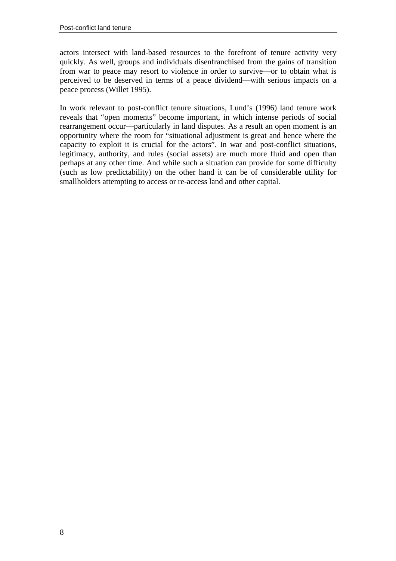actors intersect with land-based resources to the forefront of tenure activity very quickly. As well, groups and individuals disenfranchised from the gains of transition from war to peace may resort to violence in order to survive—or to obtain what is perceived to be deserved in terms of a peace dividend—with serious impacts on a peace process (Willet 1995).

In work relevant to post-conflict tenure situations, Lund's (1996) land tenure work reveals that "open moments" become important, in which intense periods of social rearrangement occur—particularly in land disputes. As a result an open moment is an opportunity where the room for "situational adjustment is great and hence where the capacity to exploit it is crucial for the actors". In war and post-conflict situations, legitimacy, authority, and rules (social assets) are much more fluid and open than perhaps at any other time. And while such a situation can provide for some difficulty (such as low predictability) on the other hand it can be of considerable utility for smallholders attempting to access or re-access land and other capital.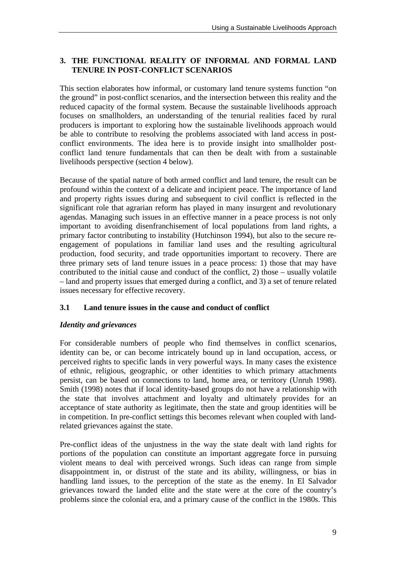## **3. THE FUNCTIONAL REALITY OF INFORMAL AND FORMAL LAND TENURE IN POST-CONFLICT SCENARIOS**

This section elaborates how informal, or customary land tenure systems function "on the ground" in post-conflict scenarios, and the intersection between this reality and the reduced capacity of the formal system. Because the sustainable livelihoods approach focuses on smallholders, an understanding of the tenurial realities faced by rural producers is important to exploring how the sustainable livelihoods approach would be able to contribute to resolving the problems associated with land access in postconflict environments. The idea here is to provide insight into smallholder postconflict land tenure fundamentals that can then be dealt with from a sustainable livelihoods perspective (section 4 below).

Because of the spatial nature of both armed conflict and land tenure, the result can be profound within the context of a delicate and incipient peace. The importance of land and property rights issues during and subsequent to civil conflict is reflected in the significant role that agrarian reform has played in many insurgent and revolutionary agendas. Managing such issues in an effective manner in a peace process is not only important to avoiding disenfranchisement of local populations from land rights, a primary factor contributing to instability (Hutchinson 1994), but also to the secure reengagement of populations in familiar land uses and the resulting agricultural production, food security, and trade opportunities important to recovery. There are three primary sets of land tenure issues in a peace process: 1) those that may have contributed to the initial cause and conduct of the conflict, 2) those – usually volatile – land and property issues that emerged during a conflict, and 3) a set of tenure related issues necessary for effective recovery.

## **3.1 Land tenure issues in the cause and conduct of conflict**

## *Identity and grievances*

For considerable numbers of people who find themselves in conflict scenarios, identity can be, or can become intricately bound up in land occupation, access, or perceived rights to specific lands in very powerful ways. In many cases the existence of ethnic, religious, geographic, or other identities to which primary attachments persist, can be based on connections to land, home area, or territory (Unruh 1998). Smith (1998) notes that if local identity-based groups do not have a relationship with the state that involves attachment and loyalty and ultimately provides for an acceptance of state authority as legitimate, then the state and group identities will be in competition. In pre-conflict settings this becomes relevant when coupled with landrelated grievances against the state.

Pre-conflict ideas of the unjustness in the way the state dealt with land rights for portions of the population can constitute an important aggregate force in pursuing violent means to deal with perceived wrongs. Such ideas can range from simple disappointment in, or distrust of the state and its ability, willingness, or bias in handling land issues, to the perception of the state as the enemy. In El Salvador grievances toward the landed elite and the state were at the core of the country's problems since the colonial era, and a primary cause of the conflict in the 1980s. This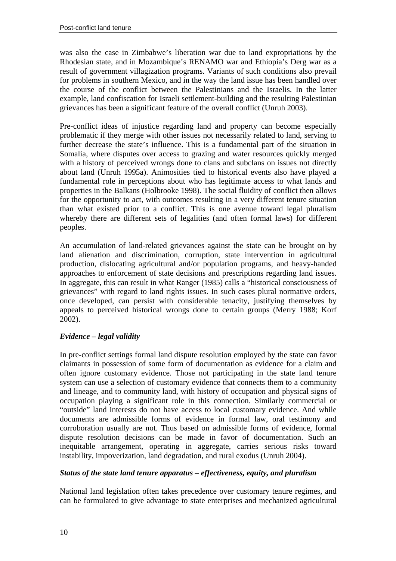was also the case in Zimbabwe's liberation war due to land expropriations by the Rhodesian state, and in Mozambique's RENAMO war and Ethiopia's Derg war as a result of government villagization programs. Variants of such conditions also prevail for problems in southern Mexico, and in the way the land issue has been handled over the course of the conflict between the Palestinians and the Israelis. In the latter example, land confiscation for Israeli settlement-building and the resulting Palestinian grievances has been a significant feature of the overall conflict (Unruh 2003).

Pre-conflict ideas of injustice regarding land and property can become especially problematic if they merge with other issues not necessarily related to land, serving to further decrease the state's influence. This is a fundamental part of the situation in Somalia, where disputes over access to grazing and water resources quickly merged with a history of perceived wrongs done to clans and subclans on issues not directly about land (Unruh 1995a). Animosities tied to historical events also have played a fundamental role in perceptions about who has legitimate access to what lands and properties in the Balkans (Holbrooke 1998). The social fluidity of conflict then allows for the opportunity to act, with outcomes resulting in a very different tenure situation than what existed prior to a conflict. This is one avenue toward legal pluralism whereby there are different sets of legalities (and often formal laws) for different peoples.

An accumulation of land-related grievances against the state can be brought on by land alienation and discrimination, corruption, state intervention in agricultural production, dislocating agricultural and/or population programs, and heavy-handed approaches to enforcement of state decisions and prescriptions regarding land issues. In aggregate, this can result in what Ranger (1985) calls a "historical consciousness of grievances" with regard to land rights issues. In such cases plural normative orders, once developed, can persist with considerable tenacity, justifying themselves by appeals to perceived historical wrongs done to certain groups (Merry 1988; Korf 2002).

#### *Evidence – legal validity*

In pre-conflict settings formal land dispute resolution employed by the state can favor claimants in possession of some form of documentation as evidence for a claim and often ignore customary evidence. Those not participating in the state land tenure system can use a selection of customary evidence that connects them to a community and lineage, and to community land, with history of occupation and physical signs of occupation playing a significant role in this connection. Similarly commercial or "outside" land interests do not have access to local customary evidence. And while documents are admissible forms of evidence in formal law, oral testimony and corroboration usually are not. Thus based on admissible forms of evidence, formal dispute resolution decisions can be made in favor of documentation. Such an inequitable arrangement, operating in aggregate, carries serious risks toward instability, impoverization, land degradation, and rural exodus (Unruh 2004).

#### *Status of the state land tenure apparatus – effectiveness, equity, and pluralism*

National land legislation often takes precedence over customary tenure regimes, and can be formulated to give advantage to state enterprises and mechanized agricultural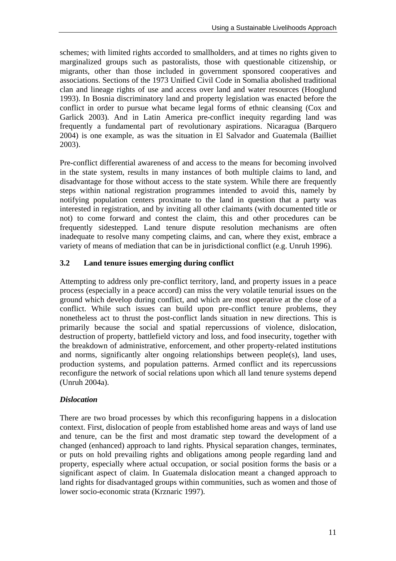schemes; with limited rights accorded to smallholders, and at times no rights given to marginalized groups such as pastoralists, those with questionable citizenship, or migrants, other than those included in government sponsored cooperatives and associations. Sections of the 1973 Unified Civil Code in Somalia abolished traditional clan and lineage rights of use and access over land and water resources (Hooglund 1993). In Bosnia discriminatory land and property legislation was enacted before the conflict in order to pursue what became legal forms of ethnic cleansing (Cox and Garlick 2003). And in Latin America pre-conflict inequity regarding land was frequently a fundamental part of revolutionary aspirations. Nicaragua (Barquero 2004) is one example, as was the situation in El Salvador and Guatemala (Bailliet 2003).

Pre-conflict differential awareness of and access to the means for becoming involved in the state system, results in many instances of both multiple claims to land, and disadvantage for those without access to the state system. While there are frequently steps within national registration programmes intended to avoid this, namely by notifying population centers proximate to the land in question that a party was interested in registration, and by inviting all other claimants (with documented title or not) to come forward and contest the claim, this and other procedures can be frequently sidestepped. Land tenure dispute resolution mechanisms are often inadequate to resolve many competing claims, and can, where they exist, embrace a variety of means of mediation that can be in jurisdictional conflict (e.g. Unruh 1996).

## **3.2 Land tenure issues emerging during conflict**

Attempting to address only pre-conflict territory, land, and property issues in a peace process (especially in a peace accord) can miss the very volatile tenurial issues on the ground which develop during conflict, and which are most operative at the close of a conflict. While such issues can build upon pre-conflict tenure problems, they nonetheless act to thrust the post-conflict lands situation in new directions. This is primarily because the social and spatial repercussions of violence, dislocation, destruction of property, battlefield victory and loss, and food insecurity, together with the breakdown of administrative, enforcement, and other property-related institutions and norms, significantly alter ongoing relationships between people(s), land uses, production systems, and population patterns. Armed conflict and its repercussions reconfigure the network of social relations upon which all land tenure systems depend (Unruh 2004a).

#### *Dislocation*

There are two broad processes by which this reconfiguring happens in a dislocation context. First, dislocation of people from established home areas and ways of land use and tenure, can be the first and most dramatic step toward the development of a changed (enhanced) approach to land rights. Physical separation changes, terminates, or puts on hold prevailing rights and obligations among people regarding land and property, especially where actual occupation, or social position forms the basis or a significant aspect of claim. In Guatemala dislocation meant a changed approach to land rights for disadvantaged groups within communities, such as women and those of lower socio-economic strata (Krznaric 1997).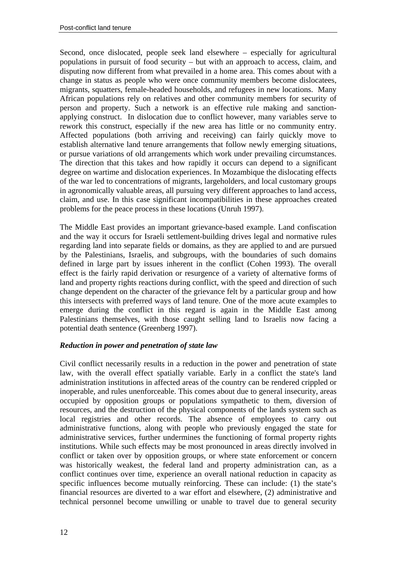Second, once dislocated, people seek land elsewhere – especially for agricultural populations in pursuit of food security – but with an approach to access, claim, and disputing now different from what prevailed in a home area. This comes about with a change in status as people who were once community members become dislocatees, migrants, squatters, female-headed households, and refugees in new locations. Many African populations rely on relatives and other community members for security of person and property. Such a network is an effective rule making and sanctionapplying construct. In dislocation due to conflict however, many variables serve to rework this construct, especially if the new area has little or no community entry. Affected populations (both arriving and receiving) can fairly quickly move to establish alternative land tenure arrangements that follow newly emerging situations, or pursue variations of old arrangements which work under prevailing circumstances. The direction that this takes and how rapidly it occurs can depend to a significant degree on wartime and dislocation experiences. In Mozambique the dislocating effects of the war led to concentrations of migrants, largeholders, and local customary groups in agronomically valuable areas, all pursuing very different approaches to land access, claim, and use. In this case significant incompatibilities in these approaches created problems for the peace process in these locations (Unruh 1997).

The Middle East provides an important grievance-based example. Land confiscation and the way it occurs for Israeli settlement-building drives legal and normative rules regarding land into separate fields or domains, as they are applied to and are pursued by the Palestinians, Israelis, and subgroups, with the boundaries of such domains defined in large part by issues inherent in the conflict (Cohen 1993). The overall effect is the fairly rapid derivation or resurgence of a variety of alternative forms of land and property rights reactions during conflict, with the speed and direction of such change dependent on the character of the grievance felt by a particular group and how this intersects with preferred ways of land tenure. One of the more acute examples to emerge during the conflict in this regard is again in the Middle East among Palestinians themselves, with those caught selling land to Israelis now facing a potential death sentence (Greenberg 1997).

#### *Reduction in power and penetration of state law*

Civil conflict necessarily results in a reduction in the power and penetration of state law, with the overall effect spatially variable. Early in a conflict the state's land administration institutions in affected areas of the country can be rendered crippled or inoperable, and rules unenforceable. This comes about due to general insecurity, areas occupied by opposition groups or populations sympathetic to them, diversion of resources, and the destruction of the physical components of the lands system such as local registries and other records. The absence of employees to carry out administrative functions, along with people who previously engaged the state for administrative services, further undermines the functioning of formal property rights institutions. While such effects may be most pronounced in areas directly involved in conflict or taken over by opposition groups, or where state enforcement or concern was historically weakest, the federal land and property administration can, as a conflict continues over time, experience an overall national reduction in capacity as specific influences become mutually reinforcing. These can include: (1) the state's financial resources are diverted to a war effort and elsewhere, (2) administrative and technical personnel become unwilling or unable to travel due to general security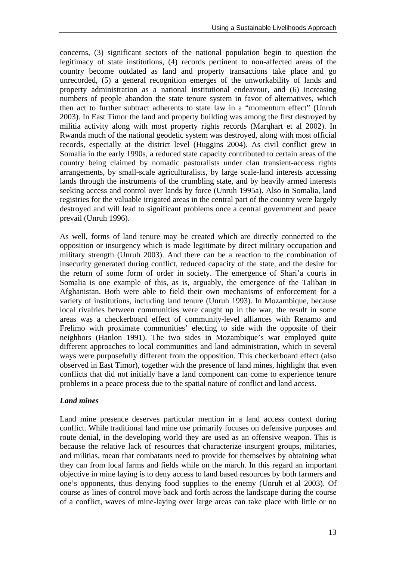concerns, (3) significant sectors of the national population begin to question the legitimacy of state institutions, (4) records pertinent to non-affected areas of the country become outdated as land and property transactions take place and go unrecorded, (5) a general recognition emerges of the unworkability of lands and property administration as a national institutional endeavour, and (6) increasing numbers of people abandon the state tenure system in favor of alternatives, which then act to further subtract adherents to state law in a "momentum effect" (Unruh 2003). In East Timor the land and property building was among the first destroyed by militia activity along with most property rights records (Marqhart et al 2002). In Rwanda much of the national geodetic system was destroyed, along with most official records, especially at the district level (Huggins 2004). As civil conflict grew in Somalia in the early 1990s, a reduced state capacity contributed to certain areas of the country being claimed by nomadic pastoralists under clan transient-access rights arrangements, by small-scale agriculturalists, by large scale-land interests accessing lands through the instruments of the crumbling state, and by heavily armed interests seeking access and control over lands by force (Unruh 1995a). Also in Somalia, land registries for the valuable irrigated areas in the central part of the country were largely destroyed and will lead to significant problems once a central government and peace prevail (Unruh 1996).

As well, forms of land tenure may be created which are directly connected to the opposition or insurgency which is made legitimate by direct military occupation and military strength (Unruh 2003). And there can be a reaction to the combination of insecurity generated during conflict, reduced capacity of the state, and the desire for the return of some form of order in society. The emergence of Shari'a courts in Somalia is one example of this, as is, arguably, the emergence of the Taliban in Afghanistan. Both were able to field their own mechanisms of enforcement for a variety of institutions, including land tenure (Unruh 1993). In Mozambique, because local rivalries between communities were caught up in the war, the result in some areas was a checkerboard effect of community-level alliances with Renamo and Frelimo with proximate communities' electing to side with the opposite of their neighbors (Hanlon 1991). The two sides in Mozambique's war employed quite different approaches to local communities and land administration, which in several ways were purposefully different from the opposition. This checkerboard effect (also observed in East Timor), together with the presence of land mines, highlight that even conflicts that did not initially have a land component can come to experience tenure problems in a peace process due to the spatial nature of conflict and land access.

#### *Land mines*

Land mine presence deserves particular mention in a land access context during conflict. While traditional land mine use primarily focuses on defensive purposes and route denial, in the developing world they are used as an offensive weapon. This is because the relative lack of resources that characterize insurgent groups, militaries, and militias, mean that combatants need to provide for themselves by obtaining what they can from local farms and fields while on the march. In this regard an important objective in mine laying is to deny access to land based resources by both farmers and one's opponents, thus denying food supplies to the enemy (Unruh et al 2003). Of course as lines of control move back and forth across the landscape during the course of a conflict, waves of mine-laying over large areas can take place with little or no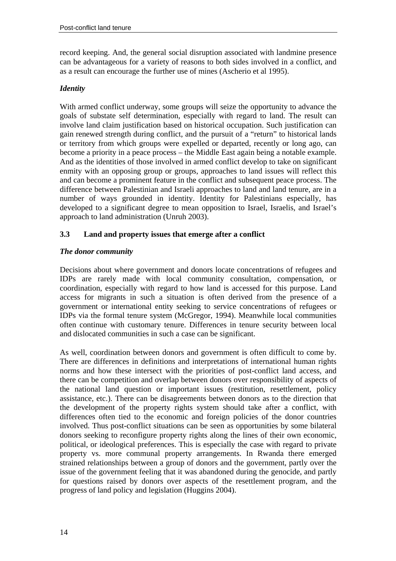record keeping. And, the general social disruption associated with landmine presence can be advantageous for a variety of reasons to both sides involved in a conflict, and as a result can encourage the further use of mines (Ascherio et al 1995).

#### *Identity*

With armed conflict underway, some groups will seize the opportunity to advance the goals of substate self determination, especially with regard to land. The result can involve land claim justification based on historical occupation. Such justification can gain renewed strength during conflict, and the pursuit of a "return" to historical lands or territory from which groups were expelled or departed, recently or long ago, can become a priority in a peace process – the Middle East again being a notable example. And as the identities of those involved in armed conflict develop to take on significant enmity with an opposing group or groups, approaches to land issues will reflect this and can become a prominent feature in the conflict and subsequent peace process. The difference between Palestinian and Israeli approaches to land and land tenure, are in a number of ways grounded in identity. Identity for Palestinians especially, has developed to a significant degree to mean opposition to Israel, Israelis, and Israel's approach to land administration (Unruh 2003).

### **3.3 Land and property issues that emerge after a conflict**

#### *The donor community*

Decisions about where government and donors locate concentrations of refugees and IDPs are rarely made with local community consultation, compensation, or coordination, especially with regard to how land is accessed for this purpose. Land access for migrants in such a situation is often derived from the presence of a government or international entity seeking to service concentrations of refugees or IDPs via the formal tenure system (McGregor, 1994). Meanwhile local communities often continue with customary tenure. Differences in tenure security between local and dislocated communities in such a case can be significant.

As well, coordination between donors and government is often difficult to come by. There are differences in definitions and interpretations of international human rights norms and how these intersect with the priorities of post-conflict land access, and there can be competition and overlap between donors over responsibility of aspects of the national land question or important issues (restitution, resettlement, policy assistance, etc.). There can be disagreements between donors as to the direction that the development of the property rights system should take after a conflict, with differences often tied to the economic and foreign policies of the donor countries involved. Thus post-conflict situations can be seen as opportunities by some bilateral donors seeking to reconfigure property rights along the lines of their own economic, political, or ideological preferences. This is especially the case with regard to private property vs. more communal property arrangements. In Rwanda there emerged strained relationships between a group of donors and the government, partly over the issue of the government feeling that it was abandoned during the genocide, and partly for questions raised by donors over aspects of the resettlement program, and the progress of land policy and legislation (Huggins 2004).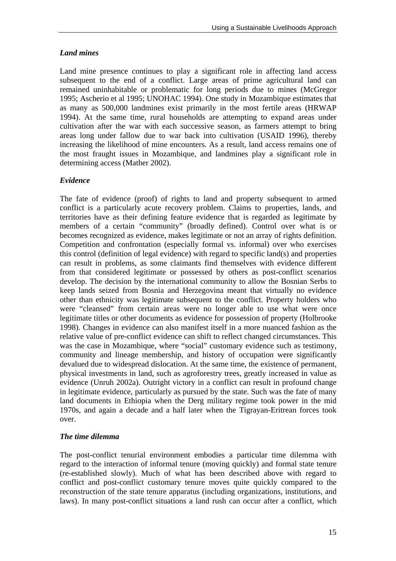## *Land mines*

Land mine presence continues to play a significant role in affecting land access subsequent to the end of a conflict. Large areas of prime agricultural land can remained uninhabitable or problematic for long periods due to mines (McGregor 1995; Ascherio et al 1995; UNOHAC 1994). One study in Mozambique estimates that as many as 500,000 landmines exist primarily in the most fertile areas (HRWAP 1994). At the same time, rural households are attempting to expand areas under cultivation after the war with each successive season, as farmers attempt to bring areas long under fallow due to war back into cultivation (USAID 1996), thereby increasing the likelihood of mine encounters. As a result, land access remains one of the most fraught issues in Mozambique, and landmines play a significant role in determining access (Mather 2002).

### *Evidence*

The fate of evidence (proof) of rights to land and property subsequent to armed conflict is a particularly acute recovery problem. Claims to properties, lands, and territories have as their defining feature evidence that is regarded as legitimate by members of a certain "community" (broadly defined). Control over what is or becomes recognized as evidence, makes legitimate or not an array of rights definition. Competition and confrontation (especially formal vs. informal) over who exercises this control (definition of legal evidence) with regard to specific land(s) and properties can result in problems, as some claimants find themselves with evidence different from that considered legitimate or possessed by others as post-conflict scenarios develop. The decision by the international community to allow the Bosnian Serbs to keep lands seized from Bosnia and Herzegovina meant that virtually no evidence other than ethnicity was legitimate subsequent to the conflict. Property holders who were "cleansed" from certain areas were no longer able to use what were once legitimate titles or other documents as evidence for possession of property (Holbrooke 1998). Changes in evidence can also manifest itself in a more nuanced fashion as the relative value of pre-conflict evidence can shift to reflect changed circumstances. This was the case in Mozambique, where "social" customary evidence such as testimony, community and lineage membership, and history of occupation were significantly devalued due to widespread dislocation. At the same time, the existence of permanent, physical investments in land, such as agroforestry trees, greatly increased in value as evidence (Unruh 2002a). Outright victory in a conflict can result in profound change in legitimate evidence, particularly as pursued by the state. Such was the fate of many land documents in Ethiopia when the Derg military regime took power in the mid 1970s, and again a decade and a half later when the Tigrayan-Eritrean forces took over.

#### *The time dilemma*

The post-conflict tenurial environment embodies a particular time dilemma with regard to the interaction of informal tenure (moving quickly) and formal state tenure (re-established slowly). Much of what has been described above with regard to conflict and post-conflict customary tenure moves quite quickly compared to the reconstruction of the state tenure apparatus (including organizations, institutions, and laws). In many post-conflict situations a land rush can occur after a conflict, which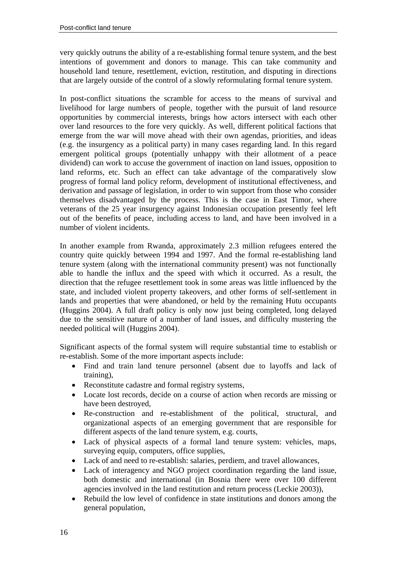very quickly outruns the ability of a re-establishing formal tenure system, and the best intentions of government and donors to manage. This can take community and household land tenure, resettlement, eviction, restitution, and disputing in directions that are largely outside of the control of a slowly reformulating formal tenure system.

In post-conflict situations the scramble for access to the means of survival and livelihood for large numbers of people, together with the pursuit of land resource opportunities by commercial interests, brings how actors intersect with each other over land resources to the fore very quickly. As well, different political factions that emerge from the war will move ahead with their own agendas, priorities, and ideas (e.g. the insurgency as a political party) in many cases regarding land. In this regard emergent political groups (potentially unhappy with their allotment of a peace dividend) can work to accuse the government of inaction on land issues, opposition to land reforms, etc. Such an effect can take advantage of the comparatively slow progress of formal land policy reform, development of institutional effectiveness, and derivation and passage of legislation, in order to win support from those who consider themselves disadvantaged by the process. This is the case in East Timor, where veterans of the 25 year insurgency against Indonesian occupation presently feel left out of the benefits of peace, including access to land, and have been involved in a number of violent incidents.

In another example from Rwanda, approximately 2.3 million refugees entered the country quite quickly between 1994 and 1997. And the formal re-establishing land tenure system (along with the international community present) was not functionally able to handle the influx and the speed with which it occurred. As a result, the direction that the refugee resettlement took in some areas was little influenced by the state, and included violent property takeovers, and other forms of self-settlement in lands and properties that were abandoned, or held by the remaining Hutu occupants (Huggins 2004). A full draft policy is only now just being completed, long delayed due to the sensitive nature of a number of land issues, and difficulty mustering the needed political will (Huggins 2004).

Significant aspects of the formal system will require substantial time to establish or re-establish. Some of the more important aspects include:

- Find and train land tenure personnel (absent due to layoffs and lack of training),
- Reconstitute cadastre and formal registry systems,
- Locate lost records, decide on a course of action when records are missing or have been destroyed,
- Re-construction and re-establishment of the political, structural, and organizational aspects of an emerging government that are responsible for different aspects of the land tenure system, e.g. courts,
- Lack of physical aspects of a formal land tenure system: vehicles, maps, surveying equip, computers, office supplies,
- Lack of and need to re-establish: salaries, perdiem, and travel allowances,
- Lack of interagency and NGO project coordination regarding the land issue, both domestic and international (in Bosnia there were over 100 different agencies involved in the land restitution and return process (Leckie 2003)),
- Rebuild the low level of confidence in state institutions and donors among the general population,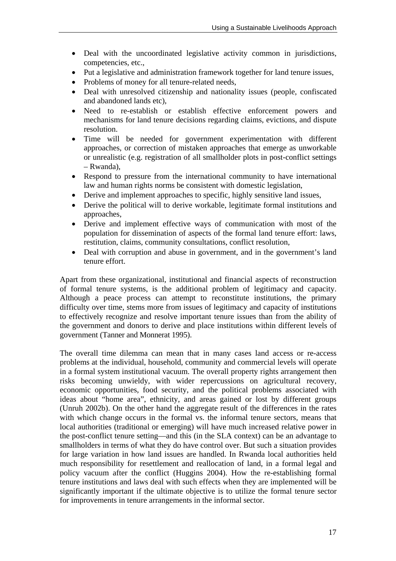- Deal with the uncoordinated legislative activity common in jurisdictions, competencies, etc.,
- Put a legislative and administration framework together for land tenure issues,
- Problems of money for all tenure-related needs.
- Deal with unresolved citizenship and nationality issues (people, confiscated and abandoned lands etc),
- Need to re-establish or establish effective enforcement powers and mechanisms for land tenure decisions regarding claims, evictions, and dispute resolution.
- Time will be needed for government experimentation with different approaches, or correction of mistaken approaches that emerge as unworkable or unrealistic (e.g. registration of all smallholder plots in post-conflict settings – Rwanda),
- Respond to pressure from the international community to have international law and human rights norms be consistent with domestic legislation,
- Derive and implement approaches to specific, highly sensitive land issues,
- Derive the political will to derive workable, legitimate formal institutions and approaches,
- Derive and implement effective ways of communication with most of the population for dissemination of aspects of the formal land tenure effort: laws, restitution, claims, community consultations, conflict resolution,
- Deal with corruption and abuse in government, and in the government's land tenure effort.

Apart from these organizational, institutional and financial aspects of reconstruction of formal tenure systems, is the additional problem of legitimacy and capacity. Although a peace process can attempt to reconstitute institutions, the primary difficulty over time, stems more from issues of legitimacy and capacity of institutions to effectively recognize and resolve important tenure issues than from the ability of the government and donors to derive and place institutions within different levels of government (Tanner and Monnerat 1995).

The overall time dilemma can mean that in many cases land access or re-access problems at the individual, household, community and commercial levels will operate in a formal system institutional vacuum. The overall property rights arrangement then risks becoming unwieldy, with wider repercussions on agricultural recovery, economic opportunities, food security, and the political problems associated with ideas about "home area", ethnicity, and areas gained or lost by different groups (Unruh 2002b). On the other hand the aggregate result of the differences in the rates with which change occurs in the formal vs. the informal tenure sectors, means that local authorities (traditional or emerging) will have much increased relative power in the post-conflict tenure setting—and this (in the SLA context) can be an advantage to smallholders in terms of what they do have control over. But such a situation provides for large variation in how land issues are handled. In Rwanda local authorities held much responsibility for resettlement and reallocation of land, in a formal legal and policy vacuum after the conflict (Huggins 2004). How the re-establishing formal tenure institutions and laws deal with such effects when they are implemented will be significantly important if the ultimate objective is to utilize the formal tenure sector for improvements in tenure arrangements in the informal sector.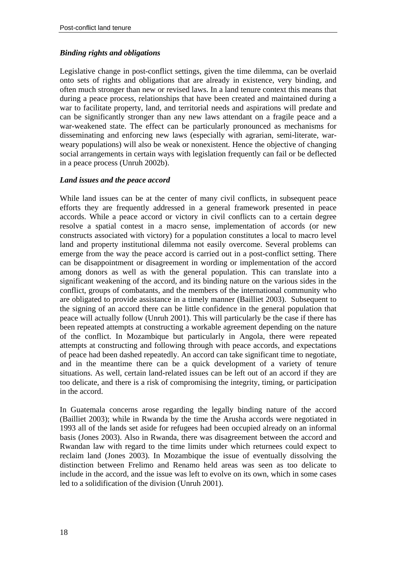#### *Binding rights and obligations*

Legislative change in post-conflict settings, given the time dilemma, can be overlaid onto sets of rights and obligations that are already in existence, very binding, and often much stronger than new or revised laws. In a land tenure context this means that during a peace process, relationships that have been created and maintained during a war to facilitate property, land, and territorial needs and aspirations will predate and can be significantly stronger than any new laws attendant on a fragile peace and a war-weakened state. The effect can be particularly pronounced as mechanisms for disseminating and enforcing new laws (especially with agrarian, semi-literate, warweary populations) will also be weak or nonexistent. Hence the objective of changing social arrangements in certain ways with legislation frequently can fail or be deflected in a peace process (Unruh 2002b).

#### *Land issues and the peace accord*

While land issues can be at the center of many civil conflicts, in subsequent peace efforts they are frequently addressed in a general framework presented in peace accords. While a peace accord or victory in civil conflicts can to a certain degree resolve a spatial contest in a macro sense, implementation of accords (or new constructs associated with victory) for a population constitutes a local to macro level land and property institutional dilemma not easily overcome. Several problems can emerge from the way the peace accord is carried out in a post-conflict setting. There can be disappointment or disagreement in wording or implementation of the accord among donors as well as with the general population. This can translate into a significant weakening of the accord, and its binding nature on the various sides in the conflict, groups of combatants, and the members of the international community who are obligated to provide assistance in a timely manner (Bailliet 2003). Subsequent to the signing of an accord there can be little confidence in the general population that peace will actually follow (Unruh 2001). This will particularly be the case if there has been repeated attempts at constructing a workable agreement depending on the nature of the conflict. In Mozambique but particularly in Angola, there were repeated attempts at constructing and following through with peace accords, and expectations of peace had been dashed repeatedly. An accord can take significant time to negotiate, and in the meantime there can be a quick development of a variety of tenure situations. As well, certain land-related issues can be left out of an accord if they are too delicate, and there is a risk of compromising the integrity, timing, or participation in the accord.

In Guatemala concerns arose regarding the legally binding nature of the accord (Bailliet 2003); while in Rwanda by the time the Arusha accords were negotiated in 1993 all of the lands set aside for refugees had been occupied already on an informal basis (Jones 2003). Also in Rwanda, there was disagreement between the accord and Rwandan law with regard to the time limits under which returnees could expect to reclaim land (Jones 2003). In Mozambique the issue of eventually dissolving the distinction between Frelimo and Renamo held areas was seen as too delicate to include in the accord, and the issue was left to evolve on its own, which in some cases led to a solidification of the division (Unruh 2001).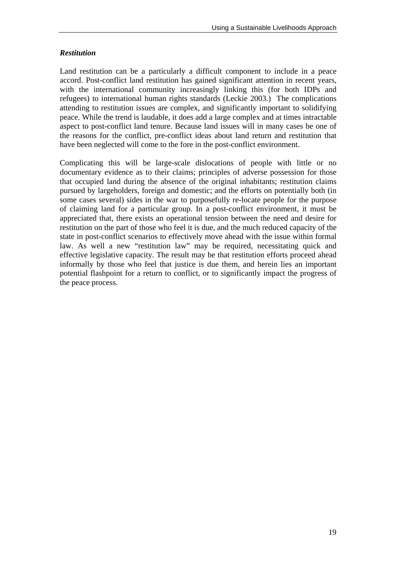### *Restitution*

Land restitution can be a particularly a difficult component to include in a peace accord. Post-conflict land restitution has gained significant attention in recent years, with the international community increasingly linking this (for both IDPs and refugees) to international human rights standards (Leckie 2003.) The complications attending to restitution issues are complex, and significantly important to solidifying peace. While the trend is laudable, it does add a large complex and at times intractable aspect to post-conflict land tenure. Because land issues will in many cases be one of the reasons for the conflict, pre-conflict ideas about land return and restitution that have been neglected will come to the fore in the post-conflict environment.

Complicating this will be large-scale dislocations of people with little or no documentary evidence as to their claims; principles of adverse possession for those that occupied land during the absence of the original inhabitants; restitution claims pursued by largeholders, foreign and domestic; and the efforts on potentially both (in some cases several) sides in the war to purposefully re-locate people for the purpose of claiming land for a particular group. In a post-conflict environment, it must be appreciated that, there exists an operational tension between the need and desire for restitution on the part of those who feel it is due, and the much reduced capacity of the state in post-conflict scenarios to effectively move ahead with the issue within formal law. As well a new "restitution law" may be required, necessitating quick and effective legislative capacity. The result may be that restitution efforts proceed ahead informally by those who feel that justice is due them, and herein lies an important potential flashpoint for a return to conflict, or to significantly impact the progress of the peace process.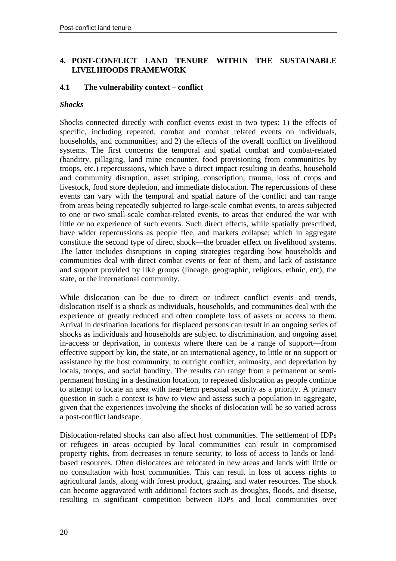#### **4. POST-CONFLICT LAND TENURE WITHIN THE SUSTAINABLE LIVELIHOODS FRAMEWORK**

#### **4.1 The vulnerability context – conflict**

#### *Shocks*

Shocks connected directly with conflict events exist in two types: 1) the effects of specific, including repeated, combat and combat related events on individuals, households, and communities; and 2) the effects of the overall conflict on livelihood systems. The first concerns the temporal and spatial combat and combat-related (banditry, pillaging, land mine encounter, food provisioning from communities by troops, etc.) repercussions, which have a direct impact resulting in deaths, household and community disruption, asset striping, conscription, trauma, loss of crops and livestock, food store depletion, and immediate dislocation. The repercussions of these events can vary with the temporal and spatial nature of the conflict and can range from areas being repeatedly subjected to large-scale combat events, to areas subjected to one or two small-scale combat-related events, to areas that endured the war with little or no experience of such events. Such direct effects, while spatially prescribed, have wider repercussions as people flee, and markets collapse; which in aggregate constitute the second type of direct shock—the broader effect on livelihood systems. The latter includes disruptions in coping strategies regarding how households and communities deal with direct combat events or fear of them, and lack of assistance and support provided by like groups (lineage, geographic, religious, ethnic, etc), the state, or the international community.

While dislocation can be due to direct or indirect conflict events and trends, dislocation itself is a shock as individuals, households, and communities deal with the experience of greatly reduced and often complete loss of assets or access to them. Arrival in destination locations for displaced persons can result in an ongoing series of shocks as individuals and households are subject to discrimination, and ongoing asset in-access or deprivation, in contexts where there can be a range of support—from effective support by kin, the state, or an international agency, to little or no support or assistance by the host community, to outright conflict, animosity, and depredation by locals, troops, and social banditry. The results can range from a permanent or semipermanent hosting in a destination location, to repeated dislocation as people continue to attempt to locate an area with near-term personal security as a priority. A primary question in such a context is how to view and assess such a population in aggregate, given that the experiences involving the shocks of dislocation will be so varied across a post-conflict landscape.

Dislocation-related shocks can also affect host communities. The settlement of IDPs or refugees in areas occupied by local communities can result in compromised property rights, from decreases in tenure security, to loss of access to lands or landbased resources. Often dislocatees are relocated in new areas and lands with little or no consultation with host communities. This can result in loss of access rights to agricultural lands, along with forest product, grazing, and water resources. The shock can become aggravated with additional factors such as droughts, floods, and disease, resulting in significant competition between IDPs and local communities over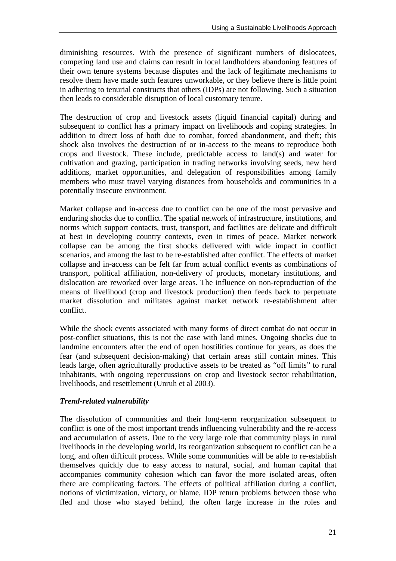diminishing resources. With the presence of significant numbers of dislocatees, competing land use and claims can result in local landholders abandoning features of their own tenure systems because disputes and the lack of legitimate mechanisms to resolve them have made such features unworkable, or they believe there is little point in adhering to tenurial constructs that others (IDPs) are not following. Such a situation then leads to considerable disruption of local customary tenure.

The destruction of crop and livestock assets (liquid financial capital) during and subsequent to conflict has a primary impact on livelihoods and coping strategies. In addition to direct loss of both due to combat, forced abandonment, and theft; this shock also involves the destruction of or in-access to the means to reproduce both crops and livestock. These include, predictable access to land(s) and water for cultivation and grazing, participation in trading networks involving seeds, new herd additions, market opportunities, and delegation of responsibilities among family members who must travel varying distances from households and communities in a potentially insecure environment.

Market collapse and in-access due to conflict can be one of the most pervasive and enduring shocks due to conflict. The spatial network of infrastructure, institutions, and norms which support contacts, trust, transport, and facilities are delicate and difficult at best in developing country contexts, even in times of peace. Market network collapse can be among the first shocks delivered with wide impact in conflict scenarios, and among the last to be re-established after conflict. The effects of market collapse and in-access can be felt far from actual conflict events as combinations of transport, political affiliation, non-delivery of products, monetary institutions, and dislocation are reworked over large areas. The influence on non-reproduction of the means of livelihood (crop and livestock production) then feeds back to perpetuate market dissolution and militates against market network re-establishment after conflict.

While the shock events associated with many forms of direct combat do not occur in post-conflict situations, this is not the case with land mines. Ongoing shocks due to landmine encounters after the end of open hostilities continue for years, as does the fear (and subsequent decision-making) that certain areas still contain mines. This leads large, often agriculturally productive assets to be treated as "off limits" to rural inhabitants, with ongoing repercussions on crop and livestock sector rehabilitation, livelihoods, and resettlement (Unruh et al 2003).

## *Trend-related vulnerability*

The dissolution of communities and their long-term reorganization subsequent to conflict is one of the most important trends influencing vulnerability and the re-access and accumulation of assets. Due to the very large role that community plays in rural livelihoods in the developing world, its reorganization subsequent to conflict can be a long, and often difficult process. While some communities will be able to re-establish themselves quickly due to easy access to natural, social, and human capital that accompanies community cohesion which can favor the more isolated areas, often there are complicating factors. The effects of political affiliation during a conflict, notions of victimization, victory, or blame, IDP return problems between those who fled and those who stayed behind, the often large increase in the roles and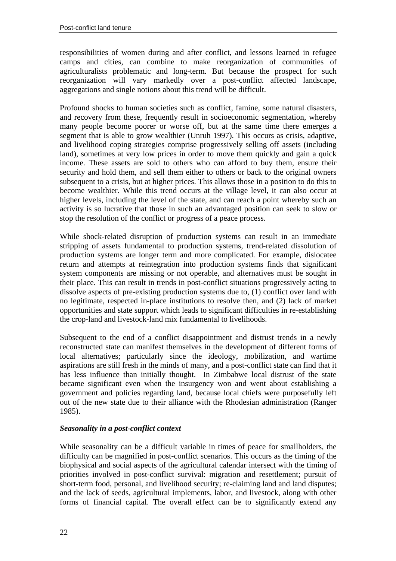responsibilities of women during and after conflict, and lessons learned in refugee camps and cities, can combine to make reorganization of communities of agriculturalists problematic and long-term. But because the prospect for such reorganization will vary markedly over a post-conflict affected landscape, aggregations and single notions about this trend will be difficult.

Profound shocks to human societies such as conflict, famine, some natural disasters, and recovery from these, frequently result in socioeconomic segmentation, whereby many people become poorer or worse off, but at the same time there emerges a segment that is able to grow wealthier (Unruh 1997). This occurs as crisis, adaptive, and livelihood coping strategies comprise progressively selling off assets (including land), sometimes at very low prices in order to move them quickly and gain a quick income. These assets are sold to others who can afford to buy them, ensure their security and hold them, and sell them either to others or back to the original owners subsequent to a crisis, but at higher prices. This allows those in a position to do this to become wealthier. While this trend occurs at the village level, it can also occur at higher levels, including the level of the state, and can reach a point whereby such an activity is so lucrative that those in such an advantaged position can seek to slow or stop the resolution of the conflict or progress of a peace process.

While shock-related disruption of production systems can result in an immediate stripping of assets fundamental to production systems, trend-related dissolution of production systems are longer term and more complicated. For example, dislocatee return and attempts at reintegration into production systems finds that significant system components are missing or not operable, and alternatives must be sought in their place. This can result in trends in post-conflict situations progressively acting to dissolve aspects of pre-existing production systems due to, (1) conflict over land with no legitimate, respected in-place institutions to resolve then, and (2) lack of market opportunities and state support which leads to significant difficulties in re-establishing the crop-land and livestock-land mix fundamental to livelihoods.

Subsequent to the end of a conflict disappointment and distrust trends in a newly reconstructed state can manifest themselves in the development of different forms of local alternatives; particularly since the ideology, mobilization, and wartime aspirations are still fresh in the minds of many, and a post-conflict state can find that it has less influence than initially thought. In Zimbabwe local distrust of the state became significant even when the insurgency won and went about establishing a government and policies regarding land, because local chiefs were purposefully left out of the new state due to their alliance with the Rhodesian administration (Ranger 1985).

#### *Seasonality in a post-conflict context*

While seasonality can be a difficult variable in times of peace for smallholders, the difficulty can be magnified in post-conflict scenarios. This occurs as the timing of the biophysical and social aspects of the agricultural calendar intersect with the timing of priorities involved in post-conflict survival: migration and resettlement; pursuit of short-term food, personal, and livelihood security; re-claiming land and land disputes; and the lack of seeds, agricultural implements, labor, and livestock, along with other forms of financial capital. The overall effect can be to significantly extend any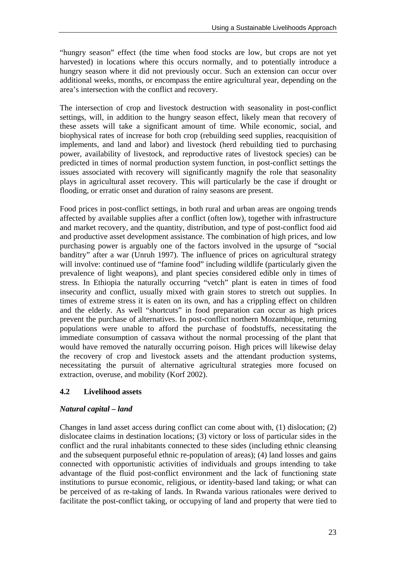"hungry season" effect (the time when food stocks are low, but crops are not yet harvested) in locations where this occurs normally, and to potentially introduce a hungry season where it did not previously occur. Such an extension can occur over additional weeks, months, or encompass the entire agricultural year, depending on the area's intersection with the conflict and recovery.

The intersection of crop and livestock destruction with seasonality in post-conflict settings, will, in addition to the hungry season effect, likely mean that recovery of these assets will take a significant amount of time. While economic, social, and biophysical rates of increase for both crop (rebuilding seed supplies, reacquisition of implements, and land and labor) and livestock (herd rebuilding tied to purchasing power, availability of livestock, and reproductive rates of livestock species) can be predicted in times of normal production system function, in post-conflict settings the issues associated with recovery will significantly magnify the role that seasonality plays in agricultural asset recovery. This will particularly be the case if drought or flooding, or erratic onset and duration of rainy seasons are present.

Food prices in post-conflict settings, in both rural and urban areas are ongoing trends affected by available supplies after a conflict (often low), together with infrastructure and market recovery, and the quantity, distribution, and type of post-conflict food aid and productive asset development assistance. The combination of high prices, and low purchasing power is arguably one of the factors involved in the upsurge of "social banditry" after a war (Unruh 1997). The influence of prices on agricultural strategy will involve: continued use of "famine food" including wildlife (particularly given the prevalence of light weapons), and plant species considered edible only in times of stress. In Ethiopia the naturally occurring "vetch" plant is eaten in times of food insecurity and conflict, usually mixed with grain stores to stretch out supplies. In times of extreme stress it is eaten on its own, and has a crippling effect on children and the elderly. As well "shortcuts" in food preparation can occur as high prices prevent the purchase of alternatives. In post-conflict northern Mozambique, returning populations were unable to afford the purchase of foodstuffs, necessitating the immediate consumption of cassava without the normal processing of the plant that would have removed the naturally occurring poison. High prices will likewise delay the recovery of crop and livestock assets and the attendant production systems, necessitating the pursuit of alternative agricultural strategies more focused on extraction, overuse, and mobility (Korf 2002).

## **4.2 Livelihood assets**

#### *Natural capital – land*

Changes in land asset access during conflict can come about with, (1) dislocation; (2) dislocatee claims in destination locations; (3) victory or loss of particular sides in the conflict and the rural inhabitants connected to these sides (including ethnic cleansing and the subsequent purposeful ethnic re-population of areas); (4) land losses and gains connected with opportunistic activities of individuals and groups intending to take advantage of the fluid post-conflict environment and the lack of functioning state institutions to pursue economic, religious, or identity-based land taking; or what can be perceived of as re-taking of lands. In Rwanda various rationales were derived to facilitate the post-conflict taking, or occupying of land and property that were tied to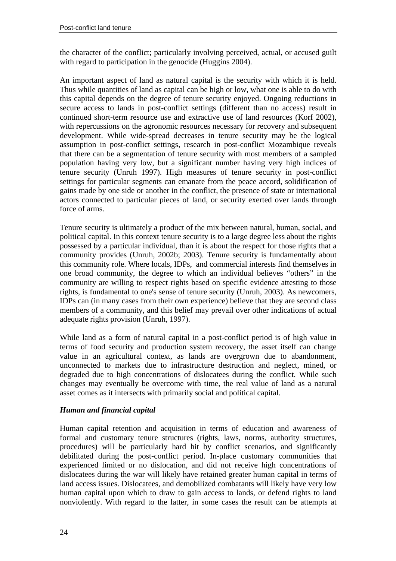the character of the conflict; particularly involving perceived, actual, or accused guilt with regard to participation in the genocide (Huggins 2004).

An important aspect of land as natural capital is the security with which it is held. Thus while quantities of land as capital can be high or low, what one is able to do with this capital depends on the degree of tenure security enjoyed. Ongoing reductions in secure access to lands in post-conflict settings (different than no access) result in continued short-term resource use and extractive use of land resources (Korf 2002), with repercussions on the agronomic resources necessary for recovery and subsequent development. While wide-spread decreases in tenure security may be the logical assumption in post-conflict settings, research in post-conflict Mozambique reveals that there can be a segmentation of tenure security with most members of a sampled population having very low, but a significant number having very high indices of tenure security (Unruh 1997). High measures of tenure security in post-conflict settings for particular segments can emanate from the peace accord, solidification of gains made by one side or another in the conflict, the presence of state or international actors connected to particular pieces of land, or security exerted over lands through force of arms.

Tenure security is ultimately a product of the mix between natural, human, social, and political capital. In this context tenure security is to a large degree less about the rights possessed by a particular individual, than it is about the respect for those rights that a community provides (Unruh, 2002b; 2003). Tenure security is fundamentally about this community role. Where locals, IDPs, and commercial interests find themselves in one broad community, the degree to which an individual believes "others" in the community are willing to respect rights based on specific evidence attesting to those rights, is fundamental to one's sense of tenure security (Unruh, 2003). As newcomers, IDPs can (in many cases from their own experience) believe that they are second class members of a community, and this belief may prevail over other indications of actual adequate rights provision (Unruh, 1997).

While land as a form of natural capital in a post-conflict period is of high value in terms of food security and production system recovery, the asset itself can change value in an agricultural context, as lands are overgrown due to abandonment, unconnected to markets due to infrastructure destruction and neglect, mined, or degraded due to high concentrations of dislocatees during the conflict. While such changes may eventually be overcome with time, the real value of land as a natural asset comes as it intersects with primarily social and political capital.

## *Human and financial capital*

Human capital retention and acquisition in terms of education and awareness of formal and customary tenure structures (rights, laws, norms, authority structures, procedures) will be particularly hard hit by conflict scenarios, and significantly debilitated during the post-conflict period. In-place customary communities that experienced limited or no dislocation, and did not receive high concentrations of dislocatees during the war will likely have retained greater human capital in terms of land access issues. Dislocatees, and demobilized combatants will likely have very low human capital upon which to draw to gain access to lands, or defend rights to land nonviolently. With regard to the latter, in some cases the result can be attempts at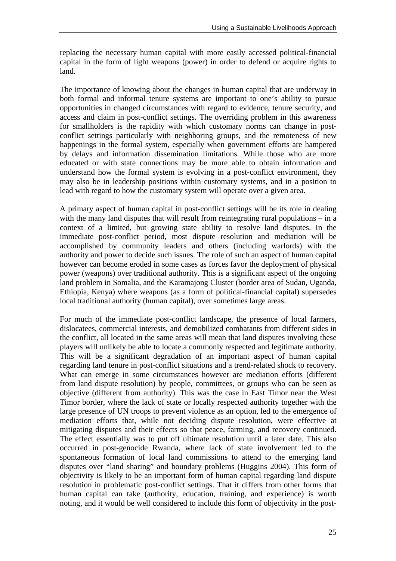replacing the necessary human capital with more easily accessed political-financial capital in the form of light weapons (power) in order to defend or acquire rights to land.

The importance of knowing about the changes in human capital that are underway in both formal and informal tenure systems are important to one's ability to pursue opportunities in changed circumstances with regard to evidence, tenure security, and access and claim in post-conflict settings. The overriding problem in this awareness for smallholders is the rapidity with which customary norms can change in postconflict settings particularly with neighboring groups, and the remoteness of new happenings in the formal system, especially when government efforts are hampered by delays and information dissemination limitations. While those who are more educated or with state connections may be more able to obtain information and understand how the formal system is evolving in a post-conflict environment, they may also be in leadership positions within customary systems, and in a position to lead with regard to how the customary system will operate over a given area.

A primary aspect of human capital in post-conflict settings will be its role in dealing with the many land disputes that will result from reintegrating rural populations – in a context of a limited, but growing state ability to resolve land disputes. In the immediate post-conflict period, most dispute resolution and mediation will be accomplished by community leaders and others (including warlords) with the authority and power to decide such issues. The role of such an aspect of human capital however can become eroded in some cases as forces favor the deployment of physical power (weapons) over traditional authority. This is a significant aspect of the ongoing land problem in Somalia, and the Karamajong Cluster (border area of Sudan, Uganda, Ethiopia, Kenya) where weapons (as a form of political-financial capital) supersedes local traditional authority (human capital), over sometimes large areas.

For much of the immediate post-conflict landscape, the presence of local farmers, dislocatees, commercial interests, and demobilized combatants from different sides in the conflict, all located in the same areas will mean that land disputes involving these players will unlikely be able to locate a commonly respected and legitimate authority. This will be a significant degradation of an important aspect of human capital regarding land tenure in post-conflict situations and a trend-related shock to recovery. What can emerge in some circumstances however are mediation efforts (different from land dispute resolution) by people, committees, or groups who can be seen as objective (different from authority). This was the case in East Timor near the West Timor border, where the lack of state or locally respected authority together with the large presence of UN troops to prevent violence as an option, led to the emergence of mediation efforts that, while not deciding dispute resolution, were effective at mitigating disputes and their effects so that peace, farming, and recovery continued. The effect essentially was to put off ultimate resolution until a later date. This also occurred in post-genocide Rwanda, where lack of state involvement led to the spontaneous formation of local land commissions to attend to the emerging land disputes over "land sharing" and boundary problems (Huggins 2004). This form of objectivity is likely to be an important form of human capital regarding land dispute resolution in problematic post-conflict settings. That it differs from other forms that human capital can take (authority, education, training, and experience) is worth noting, and it would be well considered to include this form of objectivity in the post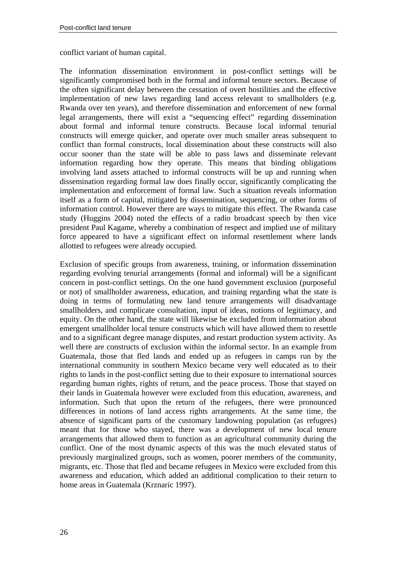conflict variant of human capital.

The information dissemination environment in post-conflict settings will be significantly compromised both in the formal and informal tenure sectors. Because of the often significant delay between the cessation of overt hostilities and the effective implementation of new laws regarding land access relevant to smallholders (e.g. Rwanda over ten years), and therefore dissemination and enforcement of new formal legal arrangements, there will exist a "sequencing effect" regarding dissemination about formal and informal tenure constructs. Because local informal tenurial constructs will emerge quicker, and operate over much smaller areas subsequent to conflict than formal constructs, local dissemination about these constructs will also occur sooner than the state will be able to pass laws and disseminate relevant information regarding how they operate. This means that binding obligations involving land assets attached to informal constructs will be up and running when dissemination regarding formal law does finally occur, significantly complicating the implementation and enforcement of formal law. Such a situation reveals information itself as a form of capital, mitigated by dissemination, sequencing, or other forms of information control. However there are ways to mitigate this effect. The Rwanda case study (Huggins 2004) noted the effects of a radio broadcast speech by then vice president Paul Kagame, whereby a combination of respect and implied use of military force appeared to have a significant effect on informal resettlement where lands allotted to refugees were already occupied.

Exclusion of specific groups from awareness, training, or information dissemination regarding evolving tenurial arrangements (formal and informal) will be a significant concern in post-conflict settings. On the one hand government exclusion (purposeful or not) of smallholder awareness, education, and training regarding what the state is doing in terms of formulating new land tenure arrangements will disadvantage smallholders, and complicate consultation, input of ideas, notions of legitimacy, and equity. On the other hand, the state will likewise be excluded from information about emergent smallholder local tenure constructs which will have allowed them to resettle and to a significant degree manage disputes, and restart production system activity. As well there are constructs of exclusion within the informal sector. In an example from Guatemala, those that fled lands and ended up as refugees in camps run by the international community in southern Mexico became very well educated as to their rights to lands in the post-conflict setting due to their exposure to international sources regarding human rights, rights of return, and the peace process. Those that stayed on their lands in Guatemala however were excluded from this education, awareness, and information. Such that upon the return of the refugees, there were pronounced differences in notions of land access rights arrangements. At the same time, the absence of significant parts of the customary landowning population (as refugees) meant that for those who stayed, there was a development of new local tenure arrangements that allowed them to function as an agricultural community during the conflict. One of the most dynamic aspects of this was the much elevated status of previously marginalized groups, such as women, poorer members of the community, migrants, etc. Those that fled and became refugees in Mexico were excluded from this awareness and education, which added an additional complication to their return to home areas in Guatemala (Krznaric 1997).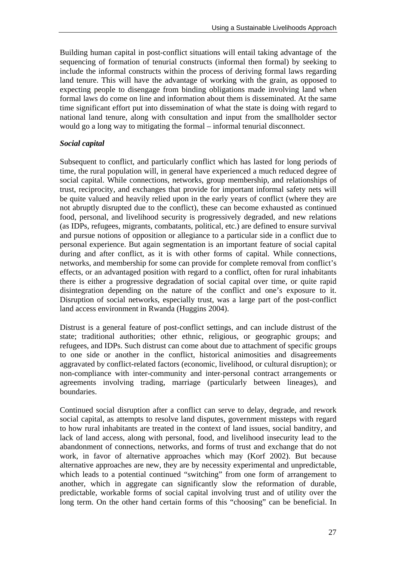Building human capital in post-conflict situations will entail taking advantage of the sequencing of formation of tenurial constructs (informal then formal) by seeking to include the informal constructs within the process of deriving formal laws regarding land tenure. This will have the advantage of working with the grain, as opposed to expecting people to disengage from binding obligations made involving land when formal laws do come on line and information about them is disseminated. At the same time significant effort put into dissemination of what the state is doing with regard to national land tenure, along with consultation and input from the smallholder sector would go a long way to mitigating the formal – informal tenurial disconnect.

#### *Social capital*

Subsequent to conflict, and particularly conflict which has lasted for long periods of time, the rural population will, in general have experienced a much reduced degree of social capital. While connections, networks, group membership, and relationships of trust, reciprocity, and exchanges that provide for important informal safety nets will be quite valued and heavily relied upon in the early years of conflict (where they are not abruptly disrupted due to the conflict), these can become exhausted as continued food, personal, and livelihood security is progressively degraded, and new relations (as IDPs, refugees, migrants, combatants, political, etc.) are defined to ensure survival and pursue notions of opposition or allegiance to a particular side in a conflict due to personal experience. But again segmentation is an important feature of social capital during and after conflict, as it is with other forms of capital. While connections, networks, and membership for some can provide for complete removal from conflict's effects, or an advantaged position with regard to a conflict, often for rural inhabitants there is either a progressive degradation of social capital over time, or quite rapid disintegration depending on the nature of the conflict and one's exposure to it. Disruption of social networks, especially trust, was a large part of the post-conflict land access environment in Rwanda (Huggins 2004).

Distrust is a general feature of post-conflict settings, and can include distrust of the state; traditional authorities; other ethnic, religious, or geographic groups; and refugees, and IDPs. Such distrust can come about due to attachment of specific groups to one side or another in the conflict, historical animosities and disagreements aggravated by conflict-related factors (economic, livelihood, or cultural disruption); or non-compliance with inter-community and inter-personal contract arrangements or agreements involving trading, marriage (particularly between lineages), and boundaries.

Continued social disruption after a conflict can serve to delay, degrade, and rework social capital, as attempts to resolve land disputes, government missteps with regard to how rural inhabitants are treated in the context of land issues, social banditry, and lack of land access, along with personal, food, and livelihood insecurity lead to the abandonment of connections, networks, and forms of trust and exchange that do not work, in favor of alternative approaches which may (Korf 2002). But because alternative approaches are new, they are by necessity experimental and unpredictable, which leads to a potential continued "switching" from one form of arrangement to another, which in aggregate can significantly slow the reformation of durable, predictable, workable forms of social capital involving trust and of utility over the long term. On the other hand certain forms of this "choosing" can be beneficial. In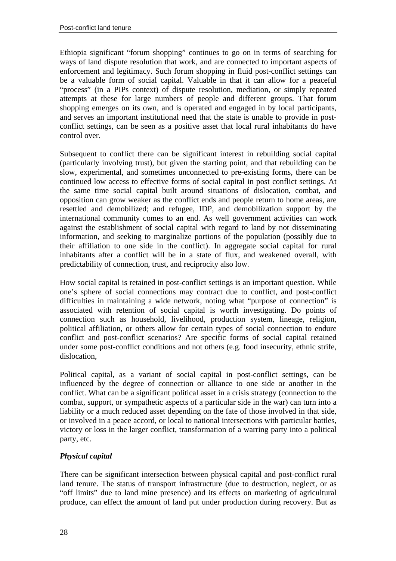Ethiopia significant "forum shopping" continues to go on in terms of searching for ways of land dispute resolution that work, and are connected to important aspects of enforcement and legitimacy. Such forum shopping in fluid post-conflict settings can be a valuable form of social capital. Valuable in that it can allow for a peaceful "process" (in a PIPs context) of dispute resolution, mediation, or simply repeated attempts at these for large numbers of people and different groups. That forum shopping emerges on its own, and is operated and engaged in by local participants, and serves an important institutional need that the state is unable to provide in postconflict settings, can be seen as a positive asset that local rural inhabitants do have control over.

Subsequent to conflict there can be significant interest in rebuilding social capital (particularly involving trust), but given the starting point, and that rebuilding can be slow, experimental, and sometimes unconnected to pre-existing forms, there can be continued low access to effective forms of social capital in post conflict settings. At the same time social capital built around situations of dislocation, combat, and opposition can grow weaker as the conflict ends and people return to home areas, are resettled and demobilized; and refugee, IDP, and demobilization support by the international community comes to an end. As well government activities can work against the establishment of social capital with regard to land by not disseminating information, and seeking to marginalize portions of the population (possibly due to their affiliation to one side in the conflict). In aggregate social capital for rural inhabitants after a conflict will be in a state of flux, and weakened overall, with predictability of connection, trust, and reciprocity also low.

How social capital is retained in post-conflict settings is an important question. While one's sphere of social connections may contract due to conflict, and post-conflict difficulties in maintaining a wide network, noting what "purpose of connection" is associated with retention of social capital is worth investigating. Do points of connection such as household, livelihood, production system, lineage, religion, political affiliation, or others allow for certain types of social connection to endure conflict and post-conflict scenarios? Are specific forms of social capital retained under some post-conflict conditions and not others (e.g. food insecurity, ethnic strife, dislocation,

Political capital, as a variant of social capital in post-conflict settings, can be influenced by the degree of connection or alliance to one side or another in the conflict. What can be a significant political asset in a crisis strategy (connection to the combat, support, or sympathetic aspects of a particular side in the war) can turn into a liability or a much reduced asset depending on the fate of those involved in that side, or involved in a peace accord, or local to national intersections with particular battles, victory or loss in the larger conflict, transformation of a warring party into a political party, etc.

## *Physical capital*

There can be significant intersection between physical capital and post-conflict rural land tenure. The status of transport infrastructure (due to destruction, neglect, or as "off limits" due to land mine presence) and its effects on marketing of agricultural produce, can effect the amount of land put under production during recovery. But as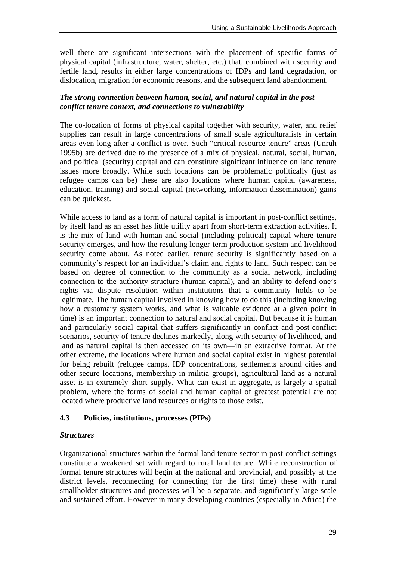well there are significant intersections with the placement of specific forms of physical capital (infrastructure, water, shelter, etc.) that, combined with security and fertile land, results in either large concentrations of IDPs and land degradation, or dislocation, migration for economic reasons, and the subsequent land abandonment.

#### *The strong connection between human, social, and natural capital in the postconflict tenure context, and connections to vulnerability*

The co-location of forms of physical capital together with security, water, and relief supplies can result in large concentrations of small scale agriculturalists in certain areas even long after a conflict is over. Such "critical resource tenure" areas (Unruh 1995b) are derived due to the presence of a mix of physical, natural, social, human, and political (security) capital and can constitute significant influence on land tenure issues more broadly. While such locations can be problematic politically (just as refugee camps can be) these are also locations where human capital (awareness, education, training) and social capital (networking, information dissemination) gains can be quickest.

While access to land as a form of natural capital is important in post-conflict settings, by itself land as an asset has little utility apart from short-term extraction activities. It is the mix of land with human and social (including political) capital where tenure security emerges, and how the resulting longer-term production system and livelihood security come about. As noted earlier, tenure security is significantly based on a community's respect for an individual's claim and rights to land. Such respect can be based on degree of connection to the community as a social network, including connection to the authority structure (human capital), and an ability to defend one's rights via dispute resolution within institutions that a community holds to be legitimate. The human capital involved in knowing how to do this (including knowing how a customary system works, and what is valuable evidence at a given point in time) is an important connection to natural and social capital. But because it is human and particularly social capital that suffers significantly in conflict and post-conflict scenarios, security of tenure declines markedly, along with security of livelihood, and land as natural capital is then accessed on its own—in an extractive format. At the other extreme, the locations where human and social capital exist in highest potential for being rebuilt (refugee camps, IDP concentrations, settlements around cities and other secure locations, membership in militia groups), agricultural land as a natural asset is in extremely short supply. What can exist in aggregate, is largely a spatial problem, where the forms of social and human capital of greatest potential are not located where productive land resources or rights to those exist.

## **4.3 Policies, institutions, processes (PIPs)**

#### *Structures*

Organizational structures within the formal land tenure sector in post-conflict settings constitute a weakened set with regard to rural land tenure. While reconstruction of formal tenure structures will begin at the national and provincial, and possibly at the district levels, reconnecting (or connecting for the first time) these with rural smallholder structures and processes will be a separate, and significantly large-scale and sustained effort. However in many developing countries (especially in Africa) the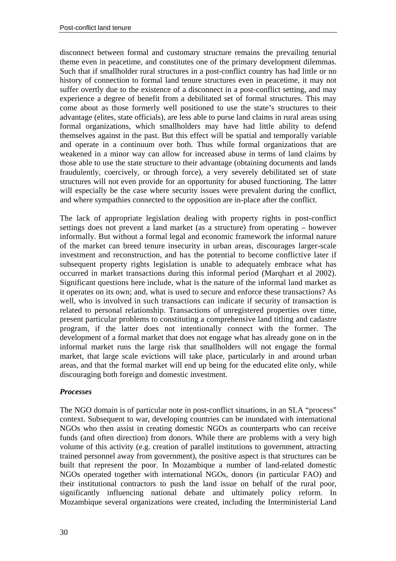disconnect between formal and customary structure remains the prevailing tenurial theme even in peacetime, and constitutes one of the primary development dilemmas. Such that if smallholder rural structures in a post-conflict country has had little or no history of connection to formal land tenure structures even in peacetime, it may not suffer overtly due to the existence of a disconnect in a post-conflict setting, and may experience a degree of benefit from a debilitated set of formal structures. This may come about as those formerly well positioned to use the state's structures to their advantage (elites, state officials), are less able to purse land claims in rural areas using formal organizations, which smallholders may have had little ability to defend themselves against in the past. But this effect will be spatial and temporally variable and operate in a continuum over both. Thus while formal organizations that are weakened in a minor way can allow for increased abuse in terms of land claims by those able to use the state structure to their advantage (obtaining documents and lands fraudulently, coercively, or through force), a very severely debilitated set of state structures will not even provide for an opportunity for abused functioning. The latter will especially be the case where security issues were prevalent during the conflict, and where sympathies connected to the opposition are in-place after the conflict.

The lack of appropriate legislation dealing with property rights in post-conflict settings does not prevent a land market (as a structure) from operating – however informally. But without a formal legal and economic framework the informal nature of the market can breed tenure insecurity in urban areas, discourages larger-scale investment and reconstruction, and has the potential to become conflictive later if subsequent property rights legislation is unable to adequately embrace what has occurred in market transactions during this informal period (Marqhart et al 2002). Significant questions here include, what is the nature of the informal land market as it operates on its own; and, what is used to secure and enforce these transactions? As well, who is involved in such transactions can indicate if security of transaction is related to personal relationship. Transactions of unregistered properties over time, present particular problems to constituting a comprehensive land titling and cadastre program, if the latter does not intentionally connect with the former. The development of a formal market that does not engage what has already gone on in the informal market runs the large risk that smallholders will not engage the formal market, that large scale evictions will take place, particularly in and around urban areas, and that the formal market will end up being for the educated elite only, while discouraging both foreign and domestic investment.

#### *Processes*

The NGO domain is of particular note in post-conflict situations, in an SLA "process" context. Subsequent to war, developing countries can be inundated with international NGOs who then assist in creating domestic NGOs as counterparts who can receive funds (and often direction) from donors. While there are problems with a very high volume of this activity (e.g. creation of parallel institutions to government, attracting trained personnel away from government), the positive aspect is that structures can be built that represent the poor. In Mozambique a number of land-related domestic NGOs operated together with international NGOs, donors (in particular FAO) and their institutional contractors to push the land issue on behalf of the rural poor, significantly influencing national debate and ultimately policy reform. In Mozambique several organizations were created, including the Interministerial Land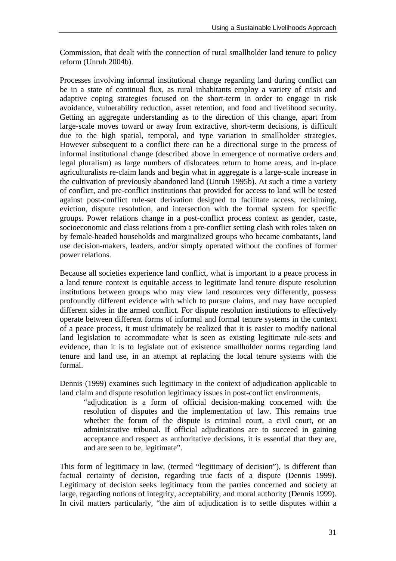Commission, that dealt with the connection of rural smallholder land tenure to policy reform (Unruh 2004b).

Processes involving informal institutional change regarding land during conflict can be in a state of continual flux, as rural inhabitants employ a variety of crisis and adaptive coping strategies focused on the short-term in order to engage in risk avoidance, vulnerability reduction, asset retention, and food and livelihood security. Getting an aggregate understanding as to the direction of this change, apart from large-scale moves toward or away from extractive, short-term decisions, is difficult due to the high spatial, temporal, and type variation in smallholder strategies. However subsequent to a conflict there can be a directional surge in the process of informal institutional change (described above in emergence of normative orders and legal pluralism) as large numbers of dislocatees return to home areas, and in-place agriculturalists re-claim lands and begin what in aggregate is a large-scale increase in the cultivation of previously abandoned land (Unruh 1995b). At such a time a variety of conflict, and pre-conflict institutions that provided for access to land will be tested against post-conflict rule-set derivation designed to facilitate access, reclaiming, eviction, dispute resolution, and intersection with the formal system for specific groups. Power relations change in a post-conflict process context as gender, caste, socioeconomic and class relations from a pre-conflict setting clash with roles taken on by female-headed households and marginalized groups who became combatants, land use decision-makers, leaders, and/or simply operated without the confines of former power relations.

Because all societies experience land conflict, what is important to a peace process in a land tenure context is equitable access to legitimate land tenure dispute resolution institutions between groups who may view land resources very differently, possess profoundly different evidence with which to pursue claims, and may have occupied different sides in the armed conflict. For dispute resolution institutions to effectively operate between different forms of informal and formal tenure systems in the context of a peace process, it must ultimately be realized that it is easier to modify national land legislation to accommodate what is seen as existing legitimate rule-sets and evidence, than it is to legislate out of existence smallholder norms regarding land tenure and land use, in an attempt at replacing the local tenure systems with the formal.

Dennis (1999) examines such legitimacy in the context of adjudication applicable to land claim and dispute resolution legitimacy issues in post-conflict environments,

"adjudication is a form of official decision-making concerned with the resolution of disputes and the implementation of law. This remains true whether the forum of the dispute is criminal court, a civil court, or an administrative tribunal. If official adjudications are to succeed in gaining acceptance and respect as authoritative decisions, it is essential that they are, and are seen to be, legitimate".

This form of legitimacy in law, (termed "legitimacy of decision"), is different than factual certainty of decision, regarding true facts of a dispute (Dennis 1999). Legitimacy of decision seeks legitimacy from the parties concerned and society at large, regarding notions of integrity, acceptability, and moral authority (Dennis 1999). In civil matters particularly, "the aim of adjudication is to settle disputes within a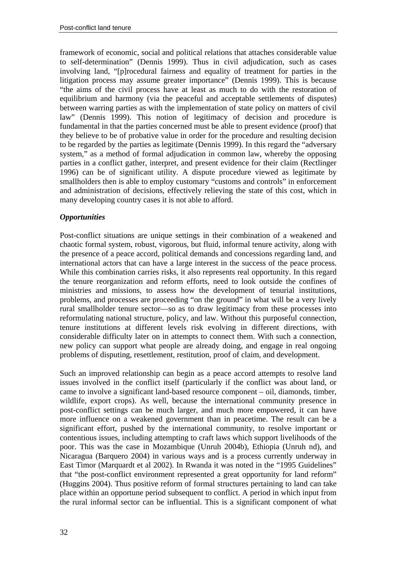framework of economic, social and political relations that attaches considerable value to self-determination" (Dennis 1999). Thus in civil adjudication, such as cases involving land, "[p]rocedural fairness and equality of treatment for parties in the litigation process may assume greater importance" (Dennis 1999). This is because "the aims of the civil process have at least as much to do with the restoration of equilibrium and harmony (via the peaceful and acceptable settlements of disputes) between warring parties as with the implementation of state policy on matters of civil law" (Dennis 1999). This notion of legitimacy of decision and procedure is fundamental in that the parties concerned must be able to present evidence (proof) that they believe to be of probative value in order for the procedure and resulting decision to be regarded by the parties as legitimate (Dennis 1999). In this regard the "adversary system," as a method of formal adjudication in common law, whereby the opposing parties in a conflict gather, interpret, and present evidence for their claim (Rectlinger 1996) can be of significant utility. A dispute procedure viewed as legitimate by smallholders then is able to employ customary "customs and controls" in enforcement and administration of decisions, effectively relieving the state of this cost, which in many developing country cases it is not able to afford.

#### *Opportunities*

Post-conflict situations are unique settings in their combination of a weakened and chaotic formal system, robust, vigorous, but fluid, informal tenure activity, along with the presence of a peace accord, political demands and concessions regarding land, and international actors that can have a large interest in the success of the peace process. While this combination carries risks, it also represents real opportunity. In this regard the tenure reorganization and reform efforts, need to look outside the confines of ministries and missions, to assess how the development of tenurial institutions, problems, and processes are proceeding "on the ground" in what will be a very lively rural smallholder tenure sector—so as to draw legitimacy from these processes into reformulating national structure, policy, and law. Without this purposeful connection, tenure institutions at different levels risk evolving in different directions, with considerable difficulty later on in attempts to connect them. With such a connection, new policy can support what people are already doing, and engage in real ongoing problems of disputing, resettlement, restitution, proof of claim, and development.

Such an improved relationship can begin as a peace accord attempts to resolve land issues involved in the conflict itself (particularly if the conflict was about land, or came to involve a significant land-based resource component – oil, diamonds, timber, wildlife, export crops). As well, because the international community presence in post-conflict settings can be much larger, and much more empowered, it can have more influence on a weakened government than in peacetime. The result can be a significant effort, pushed by the international community, to resolve important or contentious issues, including attempting to craft laws which support livelihoods of the poor. This was the case in Mozambique (Unruh 2004b), Ethiopia (Unruh nd), and Nicaragua (Barquero 2004) in various ways and is a process currently underway in East Timor (Marquardt et al 2002). In Rwanda it was noted in the "1995 Guidelines" that "the post-conflict environment represented a great opportunity for land reform" (Huggins 2004). Thus positive reform of formal structures pertaining to land can take place within an opportune period subsequent to conflict. A period in which input from the rural informal sector can be influential. This is a significant component of what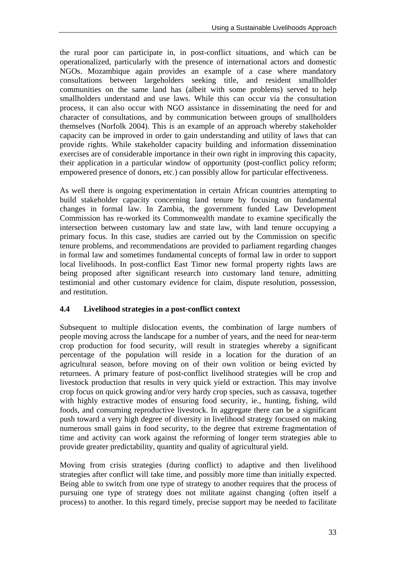the rural poor can participate in, in post-conflict situations, and which can be operationalized, particularly with the presence of international actors and domestic NGOs. Mozambique again provides an example of a case where mandatory consultations between largeholders seeking title, and resident smallholder communities on the same land has (albeit with some problems) served to help smallholders understand and use laws. While this can occur via the consultation process, it can also occur with NGO assistance in disseminating the need for and character of consultations, and by communication between groups of smallholders themselves (Norfolk 2004). This is an example of an approach whereby stakeholder capacity can be improved in order to gain understanding and utility of laws that can provide rights. While stakeholder capacity building and information dissemination exercises are of considerable importance in their own right in improving this capacity, their application in a particular window of opportunity (post-conflict policy reform; empowered presence of donors, etc.) can possibly allow for particular effectiveness.

As well there is ongoing experimentation in certain African countries attempting to build stakeholder capacity concerning land tenure by focusing on fundamental changes in formal law. In Zambia, the government funded Law Development Commission has re-worked its Commonwealth mandate to examine specifically the intersection between customary law and state law, with land tenure occupying a primary focus. In this case, studies are carried out by the Commission on specific tenure problems, and recommendations are provided to parliament regarding changes in formal law and sometimes fundamental concepts of formal law in order to support local livelihoods. In post-conflict East Timor new formal property rights laws are being proposed after significant research into customary land tenure, admitting testimonial and other customary evidence for claim, dispute resolution, possession, and restitution.

## **4.4 Livelihood strategies in a post-conflict context**

Subsequent to multiple dislocation events, the combination of large numbers of people moving across the landscape for a number of years, and the need for near-term crop production for food security, will result in strategies whereby a significant percentage of the population will reside in a location for the duration of an agricultural season, before moving on of their own volition or being evicted by returnees. A primary feature of post-conflict livelihood strategies will be crop and livestock production that results in very quick yield or extraction. This may involve crop focus on quick growing and/or very hardy crop species, such as cassava, together with highly extractive modes of ensuring food security, ie., hunting, fishing, wild foods, and consuming reproductive livestock. In aggregate there can be a significant push toward a very high degree of diversity in livelihood strategy focused on making numerous small gains in food security, to the degree that extreme fragmentation of time and activity can work against the reforming of longer term strategies able to provide greater predictability, quantity and quality of agricultural yield.

Moving from crisis strategies (during conflict) to adaptive and then livelihood strategies after conflict will take time, and possibly more time than initially expected. Being able to switch from one type of strategy to another requires that the process of pursuing one type of strategy does not militate against changing (often itself a process) to another. In this regard timely, precise support may be needed to facilitate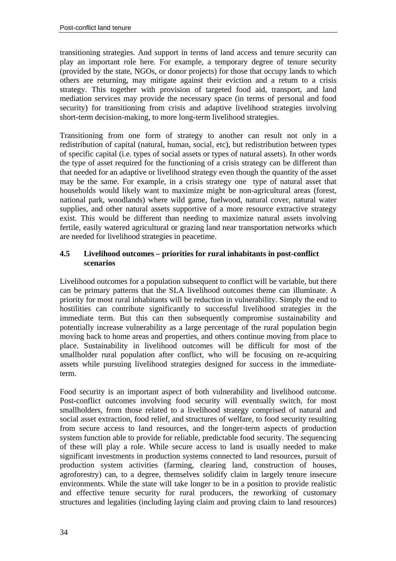transitioning strategies. And support in terms of land access and tenure security can play an important role here. For example, a temporary degree of tenure security (provided by the state, NGOs, or donor projects) for those that occupy lands to which others are returning, may mitigate against their eviction and a return to a crisis strategy. This together with provision of targeted food aid, transport, and land mediation services may provide the necessary space (in terms of personal and food security) for transitioning from crisis and adaptive livelihood strategies involving short-term decision-making, to more long-term livelihood strategies.

Transitioning from one form of strategy to another can result not only in a redistribution of capital (natural, human, social, etc), but redistribution between types of specific capital (i.e. types of social assets or types of natural assets). In other words the type of asset required for the functioning of a crisis strategy can be different than that needed for an adaptive or livelihood strategy even though the quantity of the asset may be the same. For example, in a crisis strategy one type of natural asset that households would likely want to maximize might be non-agricultural areas (forest, national park, woodlands) where wild game, fuelwood, natural cover, natural water supplies, and other natural assets supportive of a more resource extractive strategy exist. This would be different than needing to maximize natural assets involving fertile, easily watered agricultural or grazing land near transportation networks which are needed for livelihood strategies in peacetime.

#### **4.5 Livelihood outcomes – priorities for rural inhabitants in post-conflict scenarios**

Livelihood outcomes for a population subsequent to conflict will be variable, but there can be primary patterns that the SLA livelihood outcomes theme can illuminate. A priority for most rural inhabitants will be reduction in vulnerability. Simply the end to hostilities can contribute significantly to successful livelihood strategies in the immediate term. But this can then subsequently compromise sustainability and potentially increase vulnerability as a large percentage of the rural population begin moving back to home areas and properties, and others continue moving from place to place. Sustainability in livelihood outcomes will be difficult for most of the smallholder rural population after conflict, who will be focusing on re-acquiring assets while pursuing livelihood strategies designed for success in the immediateterm.

Food security is an important aspect of both vulnerability and livelihood outcome. Post-conflict outcomes involving food security will eventually switch, for most smallholders, from those related to a livelihood strategy comprised of natural and social asset extraction, food relief, and structures of welfare, to food security resulting from secure access to land resources, and the longer-term aspects of production system function able to provide for reliable, predictable food security. The sequencing of these will play a role. While secure access to land is usually needed to make significant investments in production systems connected to land resources, pursuit of production system activities (farming, clearing land, construction of houses, agroforestry) can, to a degree, themselves solidify claim in largely tenure insecure environments. While the state will take longer to be in a position to provide realistic and effective tenure security for rural producers, the reworking of customary structures and legalities (including laying claim and proving claim to land resources)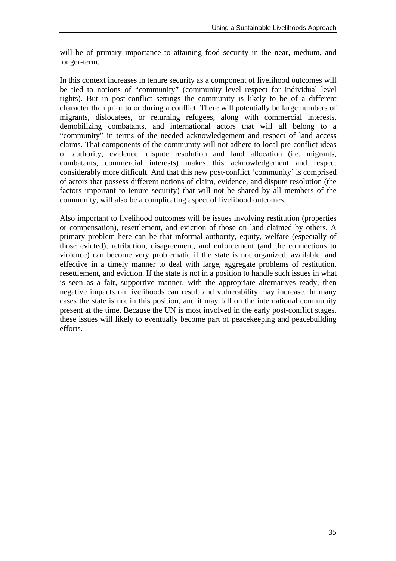will be of primary importance to attaining food security in the near, medium, and longer-term.

In this context increases in tenure security as a component of livelihood outcomes will be tied to notions of "community" (community level respect for individual level rights). But in post-conflict settings the community is likely to be of a different character than prior to or during a conflict. There will potentially be large numbers of migrants, dislocatees, or returning refugees, along with commercial interests, demobilizing combatants, and international actors that will all belong to a "community" in terms of the needed acknowledgement and respect of land access claims. That components of the community will not adhere to local pre-conflict ideas of authority, evidence, dispute resolution and land allocation (i.e. migrants, combatants, commercial interests) makes this acknowledgement and respect considerably more difficult. And that this new post-conflict 'community' is comprised of actors that possess different notions of claim, evidence, and dispute resolution (the factors important to tenure security) that will not be shared by all members of the community, will also be a complicating aspect of livelihood outcomes.

Also important to livelihood outcomes will be issues involving restitution (properties or compensation), resettlement, and eviction of those on land claimed by others. A primary problem here can be that informal authority, equity, welfare (especially of those evicted), retribution, disagreement, and enforcement (and the connections to violence) can become very problematic if the state is not organized, available, and effective in a timely manner to deal with large, aggregate problems of restitution, resettlement, and eviction. If the state is not in a position to handle such issues in what is seen as a fair, supportive manner, with the appropriate alternatives ready, then negative impacts on livelihoods can result and vulnerability may increase. In many cases the state is not in this position, and it may fall on the international community present at the time. Because the UN is most involved in the early post-conflict stages, these issues will likely to eventually become part of peacekeeping and peacebuilding efforts.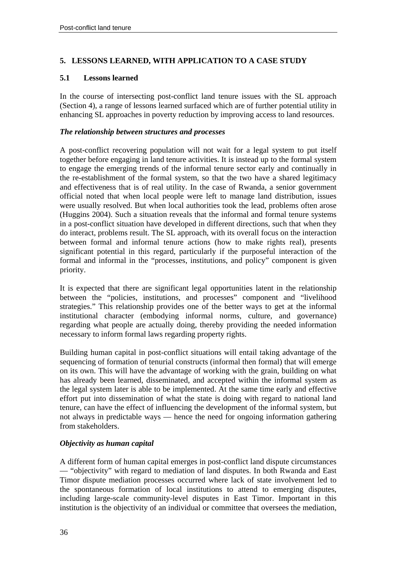#### **5. LESSONS LEARNED, WITH APPLICATION TO A CASE STUDY**

#### **5.1 Lessons learned**

In the course of intersecting post-conflict land tenure issues with the SL approach (Section 4), a range of lessons learned surfaced which are of further potential utility in enhancing SL approaches in poverty reduction by improving access to land resources.

#### *The relationship between structures and processes*

A post-conflict recovering population will not wait for a legal system to put itself together before engaging in land tenure activities. It is instead up to the formal system to engage the emerging trends of the informal tenure sector early and continually in the re-establishment of the formal system, so that the two have a shared legitimacy and effectiveness that is of real utility. In the case of Rwanda, a senior government official noted that when local people were left to manage land distribution, issues were usually resolved. But when local authorities took the lead, problems often arose (Huggins 2004). Such a situation reveals that the informal and formal tenure systems in a post-conflict situation have developed in different directions, such that when they do interact, problems result. The SL approach, with its overall focus on the interaction between formal and informal tenure actions (how to make rights real), presents significant potential in this regard, particularly if the purposeful interaction of the formal and informal in the "processes, institutions, and policy" component is given priority.

It is expected that there are significant legal opportunities latent in the relationship between the "policies, institutions, and processes" component and "livelihood strategies." This relationship provides one of the better ways to get at the informal institutional character (embodying informal norms, culture, and governance) regarding what people are actually doing, thereby providing the needed information necessary to inform formal laws regarding property rights.

Building human capital in post-conflict situations will entail taking advantage of the sequencing of formation of tenurial constructs (informal then formal) that will emerge on its own. This will have the advantage of working with the grain, building on what has already been learned, disseminated, and accepted within the informal system as the legal system later is able to be implemented. At the same time early and effective effort put into dissemination of what the state is doing with regard to national land tenure, can have the effect of influencing the development of the informal system, but not always in predictable ways — hence the need for ongoing information gathering from stakeholders.

#### *Objectivity as human capital*

A different form of human capital emerges in post-conflict land dispute circumstances — "objectivity" with regard to mediation of land disputes. In both Rwanda and East Timor dispute mediation processes occurred where lack of state involvement led to the spontaneous formation of local institutions to attend to emerging disputes, including large-scale community-level disputes in East Timor. Important in this institution is the objectivity of an individual or committee that oversees the mediation,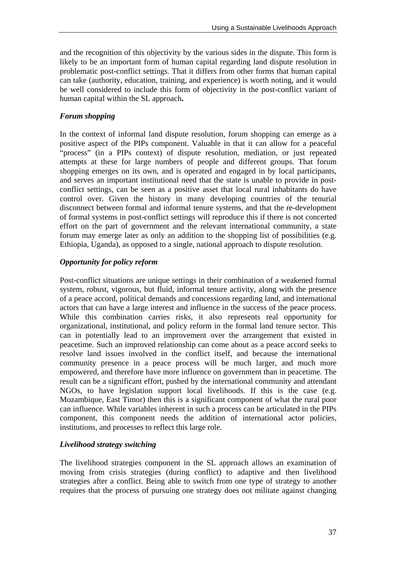and the recognition of this objectivity by the various sides in the dispute. This form is likely to be an important form of human capital regarding land dispute resolution in problematic post-conflict settings. That it differs from other forms that human capital can take (authority, education, training, and experience) is worth noting, and it would be well considered to include this form of objectivity in the post-conflict variant of human capital within the SL approach**.** 

#### *Forum shopping*

In the context of informal land dispute resolution, forum shopping can emerge as a positive aspect of the PIPs component. Valuable in that it can allow for a peaceful "process" (in a PIPs context) of dispute resolution, mediation, or just repeated attempts at these for large numbers of people and different groups. That forum shopping emerges on its own, and is operated and engaged in by local participants, and serves an important institutional need that the state is unable to provide in postconflict settings, can be seen as a positive asset that local rural inhabitants do have control over. Given the history in many developing countries of the tenurial disconnect between formal and informal tenure systems, and that the re-development of formal systems in post-conflict settings will reproduce this if there is not concerted effort on the part of government and the relevant international community, a state forum may emerge later as only an addition to the shopping list of possibilities (e.g. Ethiopia, Uganda), as opposed to a single, national approach to dispute resolution.

#### *Opportunity for policy reform*

Post-conflict situations are unique settings in their combination of a weakened formal system, robust, vigorous, but fluid, informal tenure activity, along with the presence of a peace accord, political demands and concessions regarding land, and international actors that can have a large interest and influence in the success of the peace process. While this combination carries risks, it also represents real opportunity for organizational, institutional, and policy reform in the formal land tenure sector. This can in potentially lead to an improvement over the arrangement that existed in peacetime. Such an improved relationship can come about as a peace accord seeks to resolve land issues involved in the conflict itself, and because the international community presence in a peace process will be much larger, and much more empowered, and therefore have more influence on government than in peacetime. The result can be a significant effort, pushed by the international community and attendant NGOs, to have legislation support local livelihoods. If this is the case (e.g. Mozambique, East Timor) then this is a significant component of what the rural poor can influence. While variables inherent in such a process can be articulated in the PIPs component, this component needs the addition of international actor policies, institutions, and processes to reflect this large role.

#### *Livelihood strategy switching*

The livelihood strategies component in the SL approach allows an examination of moving from crisis strategies (during conflict) to adaptive and then livelihood strategies after a conflict. Being able to switch from one type of strategy to another requires that the process of pursuing one strategy does not militate against changing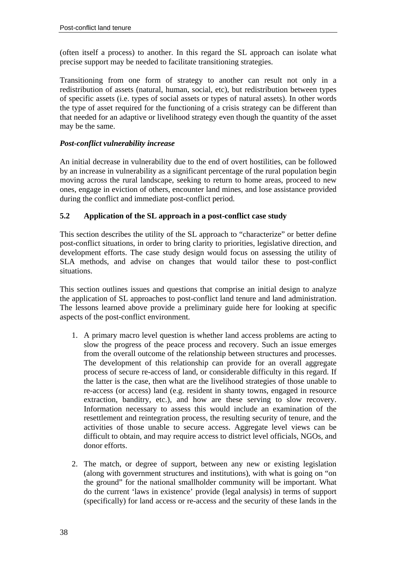(often itself a process) to another. In this regard the SL approach can isolate what precise support may be needed to facilitate transitioning strategies.

Transitioning from one form of strategy to another can result not only in a redistribution of assets (natural, human, social, etc), but redistribution between types of specific assets (i.e. types of social assets or types of natural assets). In other words the type of asset required for the functioning of a crisis strategy can be different than that needed for an adaptive or livelihood strategy even though the quantity of the asset may be the same.

#### *Post-conflict vulnerability increase*

An initial decrease in vulnerability due to the end of overt hostilities, can be followed by an increase in vulnerability as a significant percentage of the rural population begin moving across the rural landscape, seeking to return to home areas, proceed to new ones, engage in eviction of others, encounter land mines, and lose assistance provided during the conflict and immediate post-conflict period.

### **5.2 Application of the SL approach in a post-conflict case study**

This section describes the utility of the SL approach to "characterize" or better define post-conflict situations, in order to bring clarity to priorities, legislative direction, and development efforts. The case study design would focus on assessing the utility of SLA methods, and advise on changes that would tailor these to post-conflict situations.

This section outlines issues and questions that comprise an initial design to analyze the application of SL approaches to post-conflict land tenure and land administration. The lessons learned above provide a preliminary guide here for looking at specific aspects of the post-conflict environment.

- 1. A primary macro level question is whether land access problems are acting to slow the progress of the peace process and recovery. Such an issue emerges from the overall outcome of the relationship between structures and processes. The development of this relationship can provide for an overall aggregate process of secure re-access of land, or considerable difficulty in this regard. If the latter is the case, then what are the livelihood strategies of those unable to re-access (or access) land (e.g. resident in shanty towns, engaged in resource extraction, banditry, etc.), and how are these serving to slow recovery. Information necessary to assess this would include an examination of the resettlement and reintegration process, the resulting security of tenure, and the activities of those unable to secure access. Aggregate level views can be difficult to obtain, and may require access to district level officials, NGOs, and donor efforts.
- 2. The match, or degree of support, between any new or existing legislation (along with government structures and institutions), with what is going on "on the ground" for the national smallholder community will be important. What do the current 'laws in existence' provide (legal analysis) in terms of support (specifically) for land access or re-access and the security of these lands in the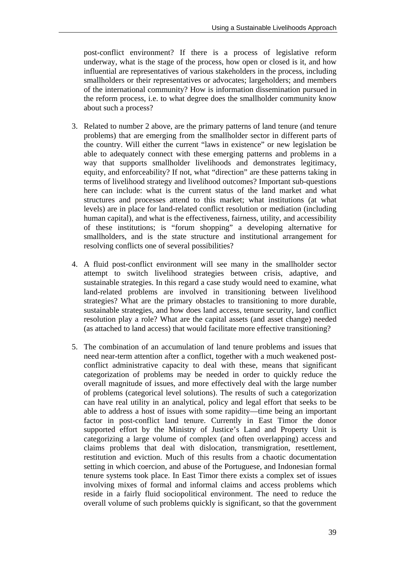post-conflict environment? If there is a process of legislative reform underway, what is the stage of the process, how open or closed is it, and how influential are representatives of various stakeholders in the process, including smallholders or their representatives or advocates; largeholders; and members of the international community? How is information dissemination pursued in the reform process, i.e. to what degree does the smallholder community know about such a process?

- 3. Related to number 2 above, are the primary patterns of land tenure (and tenure problems) that are emerging from the smallholder sector in different parts of the country. Will either the current "laws in existence" or new legislation be able to adequately connect with these emerging patterns and problems in a way that supports smallholder livelihoods and demonstrates legitimacy, equity, and enforceability? If not, what "direction" are these patterns taking in terms of livelihood strategy and livelihood outcomes? Important sub-questions here can include: what is the current status of the land market and what structures and processes attend to this market; what institutions (at what levels) are in place for land-related conflict resolution or mediation (including human capital), and what is the effectiveness, fairness, utility, and accessibility of these institutions; is "forum shopping" a developing alternative for smallholders, and is the state structure and institutional arrangement for resolving conflicts one of several possibilities?
- 4. A fluid post-conflict environment will see many in the smallholder sector attempt to switch livelihood strategies between crisis, adaptive, and sustainable strategies. In this regard a case study would need to examine, what land-related problems are involved in transitioning between livelihood strategies? What are the primary obstacles to transitioning to more durable, sustainable strategies, and how does land access, tenure security, land conflict resolution play a role? What are the capital assets (and asset change) needed (as attached to land access) that would facilitate more effective transitioning?
- 5. The combination of an accumulation of land tenure problems and issues that need near-term attention after a conflict, together with a much weakened postconflict administrative capacity to deal with these, means that significant categorization of problems may be needed in order to quickly reduce the overall magnitude of issues, and more effectively deal with the large number of problems (categorical level solutions). The results of such a categorization can have real utility in an analytical, policy and legal effort that seeks to be able to address a host of issues with some rapidity—time being an important factor in post-conflict land tenure. Currently in East Timor the donor supported effort by the Ministry of Justice's Land and Property Unit is categorizing a large volume of complex (and often overlapping) access and claims problems that deal with dislocation, transmigration, resettlement, restitution and eviction. Much of this results from a chaotic documentation setting in which coercion, and abuse of the Portuguese, and Indonesian formal tenure systems took place. In East Timor there exists a complex set of issues involving mixes of formal and informal claims and access problems which reside in a fairly fluid sociopolitical environment. The need to reduce the overall volume of such problems quickly is significant, so that the government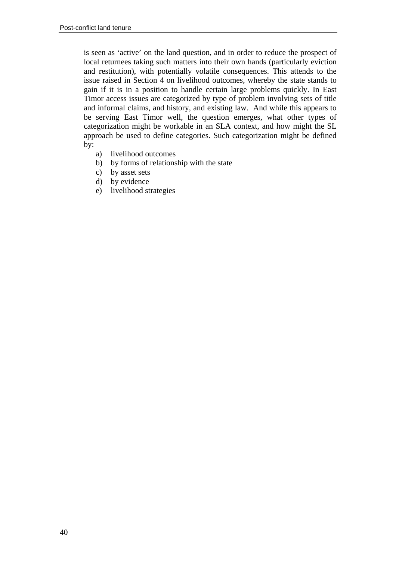is seen as 'active' on the land question, and in order to reduce the prospect of local returnees taking such matters into their own hands (particularly eviction and restitution), with potentially volatile consequences. This attends to the issue raised in Section 4 on livelihood outcomes, whereby the state stands to gain if it is in a position to handle certain large problems quickly. In East Timor access issues are categorized by type of problem involving sets of title and informal claims, and history, and existing law. And while this appears to be serving East Timor well, the question emerges, what other types of categorization might be workable in an SLA context, and how might the SL approach be used to define categories. Such categorization might be defined by:

- a) livelihood outcomes
- b) by forms of relationship with the state
- c) by asset sets
- d) by evidence
- e) livelihood strategies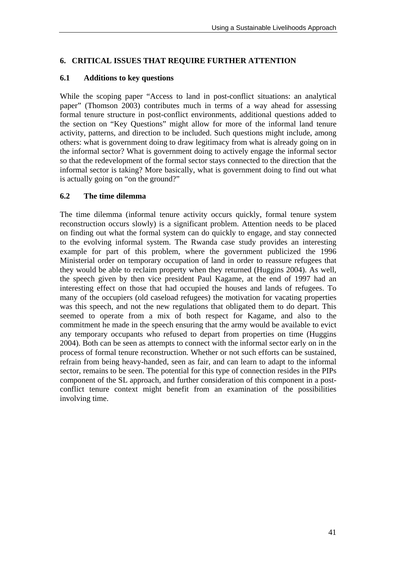#### **6. CRITICAL ISSUES THAT REQUIRE FURTHER ATTENTION**

#### **6.1 Additions to key questions**

While the scoping paper "Access to land in post-conflict situations: an analytical paper" (Thomson 2003) contributes much in terms of a way ahead for assessing formal tenure structure in post-conflict environments, additional questions added to the section on "Key Questions" might allow for more of the informal land tenure activity, patterns, and direction to be included. Such questions might include, among others: what is government doing to draw legitimacy from what is already going on in the informal sector? What is government doing to actively engage the informal sector so that the redevelopment of the formal sector stays connected to the direction that the informal sector is taking? More basically, what is government doing to find out what is actually going on "on the ground?"

#### **6.2 The time dilemma**

The time dilemma (informal tenure activity occurs quickly, formal tenure system reconstruction occurs slowly) is a significant problem. Attention needs to be placed on finding out what the formal system can do quickly to engage, and stay connected to the evolving informal system. The Rwanda case study provides an interesting example for part of this problem, where the government publicized the 1996 Ministerial order on temporary occupation of land in order to reassure refugees that they would be able to reclaim property when they returned (Huggins 2004). As well, the speech given by then vice president Paul Kagame, at the end of 1997 had an interesting effect on those that had occupied the houses and lands of refugees. To many of the occupiers (old caseload refugees) the motivation for vacating properties was this speech, and not the new regulations that obligated them to do depart. This seemed to operate from a mix of both respect for Kagame, and also to the commitment he made in the speech ensuring that the army would be available to evict any temporary occupants who refused to depart from properties on time (Huggins 2004). Both can be seen as attempts to connect with the informal sector early on in the process of formal tenure reconstruction. Whether or not such efforts can be sustained, refrain from being heavy-handed, seen as fair, and can learn to adapt to the informal sector, remains to be seen. The potential for this type of connection resides in the PIPs component of the SL approach, and further consideration of this component in a postconflict tenure context might benefit from an examination of the possibilities involving time.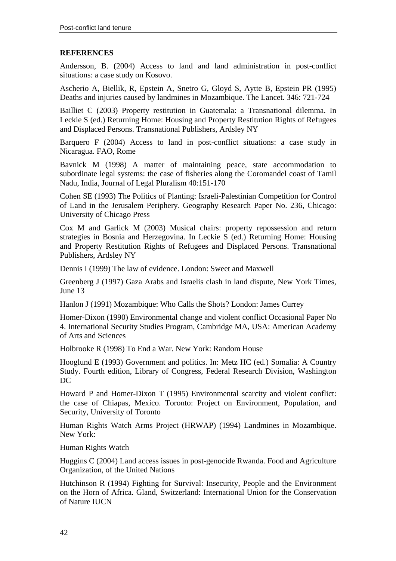#### **REFERENCES**

Andersson, B. (2004) Access to land and land administration in post-conflict situations: a case study on Kosovo.

Ascherio A, Biellik, R, Epstein A, Snetro G, Gloyd S, Aytte B, Epstein PR (1995) Deaths and injuries caused by landmines in Mozambique. The Lancet. 346: 721-724

Bailliet C (2003) Property restitution in Guatemala: a Transnational dilemma. In Leckie S (ed.) Returning Home: Housing and Property Restitution Rights of Refugees and Displaced Persons. Transnational Publishers, Ardsley NY

Barquero F (2004) Access to land in post-conflict situations: a case study in Nicaragua. FAO, Rome

Bavnick M (1998) A matter of maintaining peace, state accommodation to subordinate legal systems: the case of fisheries along the Coromandel coast of Tamil Nadu, India, Journal of Legal Pluralism 40:151-170

Cohen SE (1993) The Politics of Planting: Israeli-Palestinian Competition for Control of Land in the Jerusalem Periphery. Geography Research Paper No. 236, Chicago: University of Chicago Press

Cox M and Garlick M (2003) Musical chairs: property repossession and return strategies in Bosnia and Herzegovina. In Leckie S (ed.) Returning Home: Housing and Property Restitution Rights of Refugees and Displaced Persons. Transnational Publishers, Ardsley NY

Dennis I (1999) The law of evidence. London: Sweet and Maxwell

Greenberg J (1997) Gaza Arabs and Israelis clash in land dispute, New York Times, June 13

Hanlon J (1991) Mozambique: Who Calls the Shots? London: James Currey

Homer-Dixon (1990) Environmental change and violent conflict Occasional Paper No 4. International Security Studies Program, Cambridge MA, USA: American Academy of Arts and Sciences

Holbrooke R (1998) To End a War. New York: Random House

Hooglund E (1993) Government and politics. In: Metz HC (ed.) Somalia: A Country Study. Fourth edition, Library of Congress, Federal Research Division, Washington DC

Howard P and Homer-Dixon T (1995) Environmental scarcity and violent conflict: the case of Chiapas, Mexico. Toronto: Project on Environment, Population, and Security, University of Toronto

Human Rights Watch Arms Project (HRWAP) (1994) Landmines in Mozambique. New York:

Human Rights Watch

Huggins C (2004) Land access issues in post-genocide Rwanda. Food and Agriculture Organization, of the United Nations

Hutchinson R (1994) Fighting for Survival: Insecurity, People and the Environment on the Horn of Africa. Gland, Switzerland: International Union for the Conservation of Nature IUCN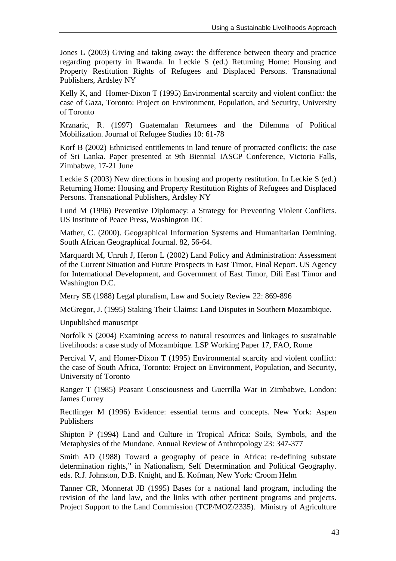Jones L (2003) Giving and taking away: the difference between theory and practice regarding property in Rwanda. In Leckie S (ed.) Returning Home: Housing and Property Restitution Rights of Refugees and Displaced Persons. Transnational Publishers, Ardsley NY

Kelly K, and Homer-Dixon T (1995) Environmental scarcity and violent conflict: the case of Gaza, Toronto: Project on Environment, Population, and Security, University of Toronto

Krznaric, R. (1997) Guatemalan Returnees and the Dilemma of Political Mobilization. Journal of Refugee Studies 10: 61-78

Korf B (2002) Ethnicised entitlements in land tenure of protracted conflicts: the case of Sri Lanka. Paper presented at 9th Biennial IASCP Conference, Victoria Falls, Zimbabwe, 17-21 June

Leckie S (2003) New directions in housing and property restitution. In Leckie S (ed.) Returning Home: Housing and Property Restitution Rights of Refugees and Displaced Persons. Transnational Publishers, Ardsley NY

Lund M (1996) Preventive Diplomacy: a Strategy for Preventing Violent Conflicts. US Institute of Peace Press, Washington DC

Mather, C. (2000). Geographical Information Systems and Humanitarian Demining. South African Geographical Journal. 82, 56-64.

Marquardt M, Unruh J, Heron L (2002) Land Policy and Administration: Assessment of the Current Situation and Future Prospects in East Timor, Final Report. US Agency for International Development, and Government of East Timor, Dili East Timor and Washington D.C.

Merry SE (1988) Legal pluralism, Law and Society Review 22: 869-896

McGregor, J. (1995) Staking Their Claims: Land Disputes in Southern Mozambique.

Unpublished manuscript

Norfolk S (2004) Examining access to natural resources and linkages to sustainable livelihoods: a case study of Mozambique. LSP Working Paper 17, FAO, Rome

Percival V, and Homer-Dixon T (1995) Environmental scarcity and violent conflict: the case of South Africa, Toronto: Project on Environment, Population, and Security, University of Toronto

Ranger T (1985) Peasant Consciousness and Guerrilla War in Zimbabwe, London: James Currey

Rectlinger M (1996) Evidence: essential terms and concepts. New York: Aspen Publishers

Shipton P (1994) Land and Culture in Tropical Africa: Soils, Symbols, and the Metaphysics of the Mundane. Annual Review of Anthropology 23: 347-377

Smith AD (1988) Toward a geography of peace in Africa: re-defining substate determination rights," in Nationalism, Self Determination and Political Geography. eds. R.J. Johnston, D.B. Knight, and E. Kofman, New York: Croom Helm

Tanner CR, Monnerat JB (1995) Bases for a national land program, including the revision of the land law, and the links with other pertinent programs and projects. Project Support to the Land Commission (TCP/MOZ/2335). Ministry of Agriculture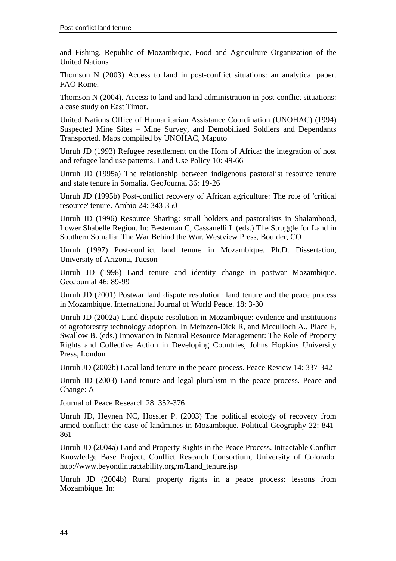and Fishing, Republic of Mozambique, Food and Agriculture Organization of the United Nations

Thomson N (2003) Access to land in post-conflict situations: an analytical paper. FAO Rome.

Thomson N (2004). Access to land and land administration in post-conflict situations: a case study on East Timor.

United Nations Office of Humanitarian Assistance Coordination (UNOHAC) (1994) Suspected Mine Sites – Mine Survey, and Demobilized Soldiers and Dependants Transported. Maps compiled by UNOHAC, Maputo

Unruh JD (1993) Refugee resettlement on the Horn of Africa: the integration of host and refugee land use patterns. Land Use Policy 10: 49-66

Unruh JD (1995a) The relationship between indigenous pastoralist resource tenure and state tenure in Somalia. GeoJournal 36: 19-26

Unruh JD (1995b) Post-conflict recovery of African agriculture: The role of 'critical resource' tenure. Ambio 24: 343-350

Unruh JD (1996) Resource Sharing: small holders and pastoralists in Shalambood, Lower Shabelle Region. In: Besteman C, Cassanelli L (eds.) The Struggle for Land in Southern Somalia: The War Behind the War. Westview Press, Boulder, CO

Unruh (1997) Post-conflict land tenure in Mozambique. Ph.D. Dissertation, University of Arizona, Tucson

Unruh JD (1998) Land tenure and identity change in postwar Mozambique. GeoJournal 46: 89-99

Unruh JD (2001) Postwar land dispute resolution: land tenure and the peace process in Mozambique. International Journal of World Peace. 18: 3-30

Unruh JD (2002a) Land dispute resolution in Mozambique: evidence and institutions of agroforestry technology adoption. In Meinzen-Dick R, and Mcculloch A., Place F, Swallow B. (eds.) Innovation in Natural Resource Management: The Role of Property Rights and Collective Action in Developing Countries, Johns Hopkins University Press, London

Unruh JD (2002b) Local land tenure in the peace process. Peace Review 14: 337-342

Unruh JD (2003) Land tenure and legal pluralism in the peace process. Peace and Change: A

Journal of Peace Research 28: 352-376

Unruh JD, Heynen NC, Hossler P. (2003) The political ecology of recovery from armed conflict: the case of landmines in Mozambique. Political Geography 22: 841- 861

Unruh JD (2004a) Land and Property Rights in the Peace Process. Intractable Conflict Knowledge Base Project, Conflict Research Consortium, University of Colorado. http://www.beyondintractability.org/m/Land\_tenure.jsp

Unruh JD (2004b) Rural property rights in a peace process: lessons from Mozambique. In: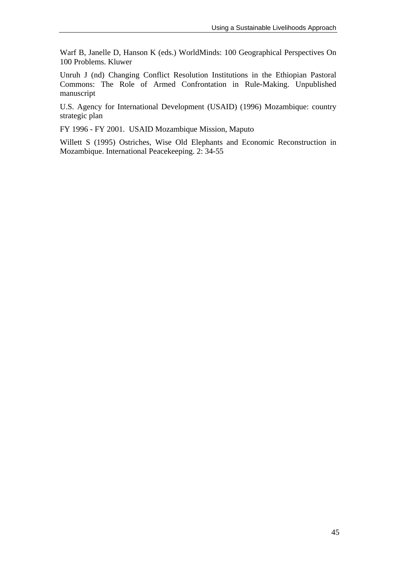Warf B, Janelle D, Hanson K (eds.) WorldMinds: 100 Geographical Perspectives On 100 Problems. Kluwer

Unruh J (nd) Changing Conflict Resolution Institutions in the Ethiopian Pastoral Commons: The Role of Armed Confrontation in Rule-Making. Unpublished manuscript

U.S. Agency for International Development (USAID) (1996) Mozambique: country strategic plan

FY 1996 - FY 2001. USAID Mozambique Mission, Maputo

Willett S (1995) Ostriches, Wise Old Elephants and Economic Reconstruction in Mozambique. International Peacekeeping. 2: 34-55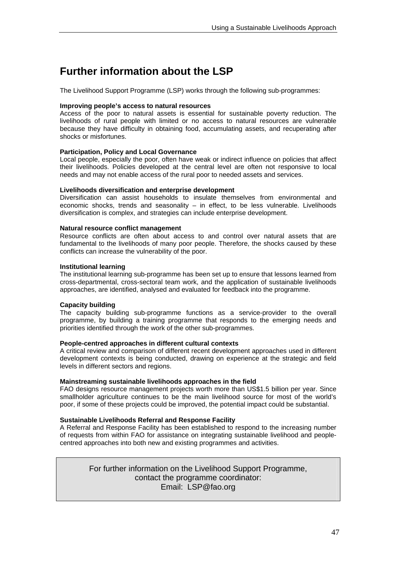## **Further information about the LSP**

The Livelihood Support Programme (LSP) works through the following sub-programmes:

#### **Improving people's access to natural resources**

Access of the poor to natural assets is essential for sustainable poverty reduction. The livelihoods of rural people with limited or no access to natural resources are vulnerable because they have difficulty in obtaining food, accumulating assets, and recuperating after shocks or misfortunes.

#### **Participation, Policy and Local Governance**

Local people, especially the poor, often have weak or indirect influence on policies that affect their livelihoods. Policies developed at the central level are often not responsive to local needs and may not enable access of the rural poor to needed assets and services.

#### **Livelihoods diversification and enterprise development**

Diversification can assist households to insulate themselves from environmental and economic shocks, trends and seasonality  $-$  in effect, to be less vulnerable. Livelihoods diversification is complex, and strategies can include enterprise development.

#### **Natural resource conflict management**

Resource conflicts are often about access to and control over natural assets that are fundamental to the livelihoods of many poor people. Therefore, the shocks caused by these conflicts can increase the vulnerability of the poor.

#### **Institutional learning**

The institutional learning sub-programme has been set up to ensure that lessons learned from cross-departmental, cross-sectoral team work, and the application of sustainable livelihoods approaches, are identified, analysed and evaluated for feedback into the programme.

#### **Capacity building**

The capacity building sub-programme functions as a service-provider to the overall programme, by building a training programme that responds to the emerging needs and priorities identified through the work of the other sub-programmes.

#### **People-centred approaches in different cultural contexts**

A critical review and comparison of different recent development approaches used in different development contexts is being conducted, drawing on experience at the strategic and field levels in different sectors and regions.

#### **Mainstreaming sustainable livelihoods approaches in the field**

FAO designs resource management projects worth more than US\$1.5 billion per year. Since smallholder agriculture continues to be the main livelihood source for most of the world's poor, if some of these projects could be improved, the potential impact could be substantial.

#### **Sustainable Livelihoods Referral and Response Facility**

A Referral and Response Facility has been established to respond to the increasing number of requests from within FAO for assistance on integrating sustainable livelihood and peoplecentred approaches into both new and existing programmes and activities.

> For further information on the Livelihood Support Programme, contact the programme coordinator: Email: LSP@fao.org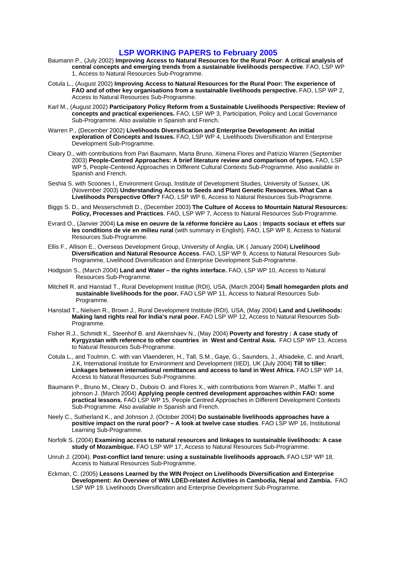#### **LSP WORKING PAPERS to February 2005**

- Baumann P., (July 2002) **Improving Access to Natural Resources for the Rural Poor**: **A critical analysis of central concepts and emerging trends from a sustainable livelihoods perspective**. FAO, LSP WP 1, Access to Natural Resources Sub-Programme.
- Cotula L., (August 2002) **Improving Access to Natural Resources for the Rural Poor: The experience of FAO and of other key organisations from a sustainable livelihoods perspective.** FAO, LSP WP 2, Access to Natural Resources Sub-Programme.
- Karl M., (August 2002) **Participatory Policy Reform from a Sustainable Livelihoods Perspective: Review of concepts and practical experiences.** FAO, LSP WP 3, Participation, Policy and Local Governance Sub-Programme. Also available in Spanish and French.
- Warren P., (December 2002) **Livelihoods Diversification and Enterprise Development: An initial exploration of Concepts and Issues.** FAO, LSP WP 4, Livelihoods Diversification and Enterprise Development Sub-Programme.
- Cleary D., with contributions from Pari Baumann, Marta Bruno, Ximena Flores and Patrizio Warren (September 2003) **People-Centred Approaches: A brief literature review and comparison of types.** FAO, LSP WP 5, People-Centered Approaches in Different Cultural Contexts Sub-Programme. Also available in Spanish and French.
- Seshia S. with Scoones I., Environment Group, Institute of Development Studies, University of Sussex, UK (November 2003) **Understanding Access to Seeds and Plant Genetic Resources. What Can a Livelihoods Perspective Offer?** FAO, LSP WP 6, Access to Natural Resources Sub-Programme.
- Biggs S. D., and Messerschmidt D., (December 2003) **The Culture of Access to Mountain Natural Resources: Policy, Processes and Practices**. FAO, LSP WP 7, Access to Natural Resources Sub-Programme.
- Evrard O., (Janvier 2004) **La mise en oeuvre de la réforme foncière au Laos : Impacts sociaux et effets sur les conditions de vie en milieu rural** (with summary in English). FAO, LSP WP 8, Access to Natural Resources Sub-Programme.
- Ellis F., Allison E., Overseas Development Group, University of Anglia, UK ( January 2004) **Livelihood Diversification and Natural Resource Access**. FAO, LSP WP 9, Access to Natural Resources Sub-Programme, Livelihood Diversification and Enterprise Development Sub-Programme.
- Hodgson S., (March 2004) **Land and Water the rights interface.** FAO, LSP WP 10, Access to Natural Resources Sub-Programme.
- Mitchell R. and Hanstad T., Rural Development Institue (RDI), USA, (March 2004) **Small homegarden plots and sustainable livelihoods for the poor.** FAO LSP WP 11, Access to Natural Resources Sub-Programme.
- Hanstad T., Nielsen R., Brown J., Rural Development Institute (RDI), USA, (May 2004) **Land and Livelihoods: Making land rights real for India's rural poor.** FAO LSP WP 12, Access to Natural Resources Sub-Programme.
- Fisher R.J., Schmidt K., Steenhof B. and Akenshaev N., (May 2004) **Poverty and forestry : A case study of Kyrgyzstan with reference to other countries in West and Central Asia.** FAO LSP WP 13, Access to Natural Resources Sub-Programme.
- Cotula L., and Toulmin, C. with van Vlaenderen, H., Tall, S.M., Gaye, G., Saunders, J., Ahiadeke, C. and Anarfi, J.K, International Institute for Environment and Development (IIED), UK (July 2004) **Till to tiller: Linkages between international remittances and access to land in West Africa.** FAO LSP WP 14, Access to Natural Resources Sub-Programme.
- Baumann P., Bruno M., Cleary D., Dubois O. and Flores X., with contributions from Warren P., Maffei T. and johnson J. (March 2004) **Applying people centred development approaches within FAO: some practical lessons.** FAO LSP WP 15, People Centred Approaches in Different Development Contexts Sub-Programme. Also available in Spanish and French.
- Neely C., Sutherland K., and Johnson J. (October 2004) **Do sustainable livelihoods approaches have a positive impact on the rural poor? – A look at twelve case studies**. FAO LSP WP 16, Institutional Learning Sub-Programme.
- Norfolk S. (2004) **Examining access to natural resources and linkages to sustainable livelihoods: A case study of Mozambique.** FAO LSP WP 17, Access to Natural Resources Sub-Programme.
- Unruh J. (2004). **Post-conflict land tenure: using a sustainable livelihoods approach.** FAO LSP WP 18, Access to Natural Resources Sub-Programme.
- Eckman, C. (2005) **Lessons Learned by the WIN Project on Livelihoods Diversification and Enterprise Development: An Overview of WIN LDED-related Activities in Cambodia, Nepal and Zambia.** FAO LSP WP 19. Livelihoods Diversification and Enterprise Development Sub-Programme.